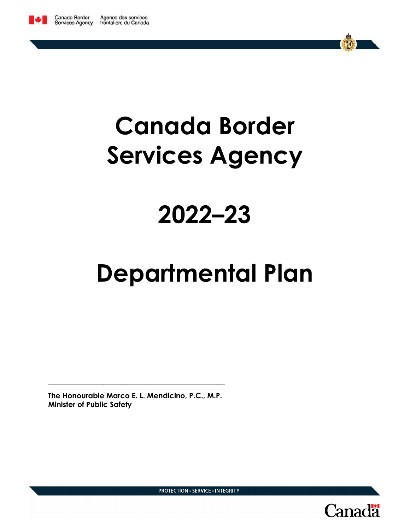

# **Canada Border Services Agency**

# **2022–23**

# **Departmental Plan**

**The Honourable Marco E. L. Mendicino, P.C., M.P. Minister of Public Safety**

**\_\_\_\_\_\_\_\_\_\_\_\_\_\_\_\_\_\_\_\_\_\_\_\_\_\_\_\_\_\_\_\_\_\_\_\_\_\_\_\_\_\_\_\_\_\_\_\_**



**PROTECTION · SERVICE · INTEGRITY**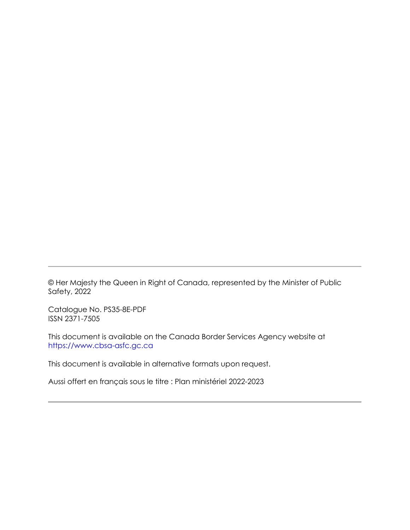© Her Majesty the Queen in Right of Canada, represented by the Minister of Public Safety, 2022

Catalogue No. PS35-8E-PDF ISSN 2371-7505

This document is available on the Canada Border Services Agency website at https://www.cbsa-asfc.gc.ca

This document is available in alternative formats upon request.

Aussi offert en français sous le titre : Plan ministériel 2022-2023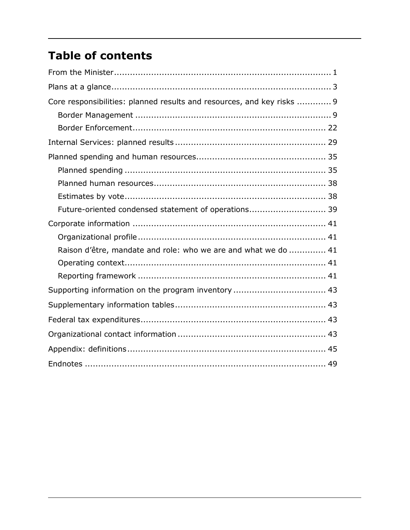# **Table of contents**

| Core responsibilities: planned results and resources, and key risks  9 |  |
|------------------------------------------------------------------------|--|
|                                                                        |  |
|                                                                        |  |
|                                                                        |  |
|                                                                        |  |
|                                                                        |  |
|                                                                        |  |
|                                                                        |  |
| Future-oriented condensed statement of operations 39                   |  |
|                                                                        |  |
|                                                                        |  |
| Raison d'être, mandate and role: who we are and what we do  41         |  |
|                                                                        |  |
|                                                                        |  |
|                                                                        |  |
|                                                                        |  |
|                                                                        |  |
|                                                                        |  |
|                                                                        |  |
|                                                                        |  |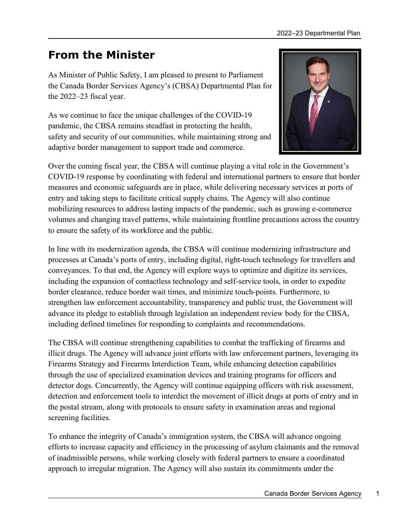# **From the Minister**

As Minister of Public Safety, I am pleased to present to Parliament the Canada Border Services Agency's (CBSA) Departmental Plan for the 2022–23 fiscal year.

As we continue to face the unique challenges of the COVID-19 pandemic, the CBSA remains steadfast in protecting the health, safety and security of our communities, while maintaining strong and adaptive border management to support trade and commerce.



Over the coming fiscal year, the CBSA will continue playing a vital role in the Government's COVID-19 response by coordinating with federal and international partners to ensure that border measures and economic safeguards are in place, while delivering necessary services at ports of entry and taking steps to facilitate critical supply chains. The Agency will also continue mobilizing resources to address lasting impacts of the pandemic, such as growing e-commerce volumes and changing travel patterns, while maintaining frontline precautions across the country to ensure the safety of its workforce and the public.

In line with its modernization agenda, the CBSA will continue modernizing infrastructure and processes at Canada's ports of entry, including digital, right-touch technology for travellers and conveyances. To that end, the Agency will explore ways to optimize and digitize its services, including the expansion of contactless technology and self-service tools, in order to expedite border clearance, reduce border wait times, and minimize touch-points. Furthermore, to strengthen law enforcement accountability, transparency and public trust, the Government will advance its pledge to establish through legislation an independent review body for the CBSA, including defined timelines for responding to complaints and recommendations.

The CBSA will continue strengthening capabilities to combat the trafficking of firearms and illicit drugs. The Agency will advance joint efforts with law enforcement partners, leveraging its Firearms Strategy and Firearms Interdiction Team, while enhancing detection capabilities through the use of specialized examination devices and training programs for officers and detector dogs. Concurrently, the Agency will continue equipping officers with risk assessment, detection and enforcement tools to interdict the movement of illicit drugs at ports of entry and in the postal stream, along with protocols to ensure safety in examination areas and regional screening facilities.

To enhance the integrity of Canada's immigration system, the CBSA will advance ongoing efforts to increase capacity and efficiency in the processing of asylum claimants and the removal of inadmissible persons, while working closely with federal partners to ensure a coordinated approach to irregular migration. The Agency will also sustain its commitments under the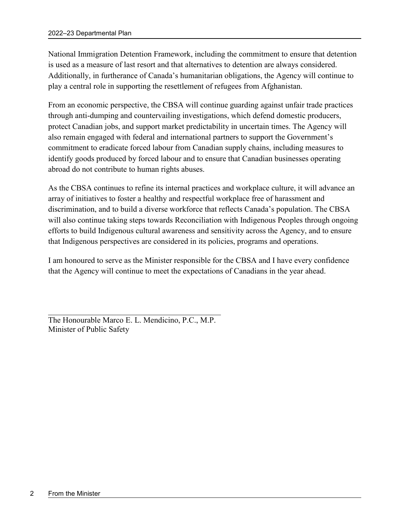National Immigration Detention Framework, including the commitment to ensure that detention is used as a measure of last resort and that alternatives to detention are always considered. Additionally, in furtherance of Canada's humanitarian obligations, the Agency will continue to play a central role in supporting the resettlement of refugees from Afghanistan.

From an economic perspective, the CBSA will continue guarding against unfair trade practices through anti-dumping and countervailing investigations, which defend domestic producers, protect Canadian jobs, and support market predictability in uncertain times. The Agency will also remain engaged with federal and international partners to support the Government's commitment to eradicate forced labour from Canadian supply chains, including measures to identify goods produced by forced labour and to ensure that Canadian businesses operating abroad do not contribute to human rights abuses.

As the CBSA continues to refine its internal practices and workplace culture, it will advance an array of initiatives to foster a healthy and respectful workplace free of harassment and discrimination, and to build a diverse workforce that reflects Canada's population. The CBSA will also continue taking steps towards Reconciliation with Indigenous Peoples through ongoing efforts to build Indigenous cultural awareness and sensitivity across the Agency, and to ensure that Indigenous perspectives are considered in its policies, programs and operations.

I am honoured to serve as the Minister responsible for the CBSA and I have every confidence that the Agency will continue to meet the expectations of Canadians in the year ahead.

The Honourable Marco E. L. Mendicino, P.C., M.P. Minister of Public Safety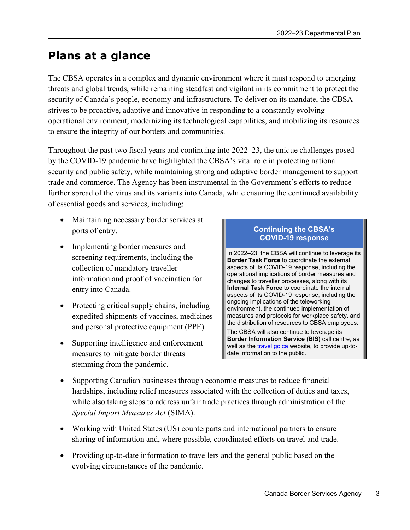# **Plans at a glance**

The CBSA operates in a complex and dynamic environment where it must respond to emerging threats and global trends, while remaining steadfast and vigilant in its commitment to protect the security of Canada's people, economy and infrastructure. To deliver on its mandate, the CBSA strives to be proactive, adaptive and innovative in responding to a constantly evolving operational environment, modernizing its technological capabilities, and mobilizing its resources to ensure the integrity of our borders and communities.

Throughout the past two fiscal years and continuing into 2022–23, the unique challenges posed by the COVID-19 pandemic have highlighted the CBSA's vital role in protecting national security and public safety, while maintaining strong and adaptive border management to support trade and commerce. The Agency has been instrumental in the Government's efforts to reduce further spread of the virus and its variants into Canada, while ensuring the continued availability of essential goods and services, including:

- Maintaining necessary border services at ports of entry.
- Implementing border measures and screening requirements, including the collection of mandatory traveller information and proof of vaccination for entry into Canada.
- Protecting critical supply chains, including expedited shipments of vaccines, medicines and personal protective equipment (PPE).
- Supporting intelligence and enforcement measures to mitigate border threats stemming from the pandemic.

#### **Continuing the CBSA's COVID-19 response**

In 2022–23, the CBSA will continue to leverage its **Border Task Force** to coordinate the external aspects of its COVID-19 response, including the operational implications of border measures and changes to traveller processes, along with its **Internal Task Force** to coordinate the internal aspects of its COVID-19 response, including the ongoing implications of the teleworking environment, the continued implementation of measures and protocols for workplace safety, and the distribution of resources to CBSA employees.

The CBSA will also continue to leverage its **Border Information Service (BIS)** call centre, as well as the travel.gc.ca website, to provide up-todate information to the public.

- Supporting Canadian businesses through economic measures to reduce financial hardships, including relief measures associated with the collection of duties and taxes, while also taking steps to address unfair trade practices through administration of the *Special Import Measures Act* (SIMA).
- Working with United States (US) counterparts and international partners to ensure sharing of information and, where possible, coordinated efforts on travel and trade.
- Providing up-to-date information to travellers and the general public based on the evolving circumstances of the pandemic.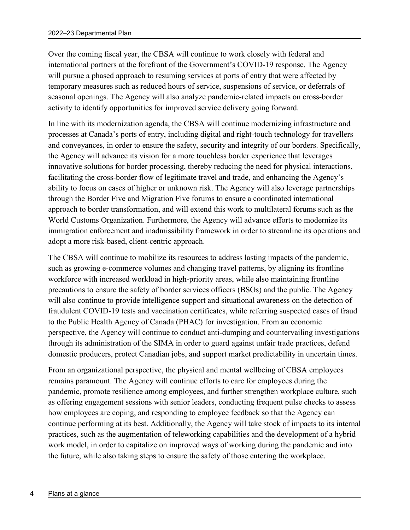Over the coming fiscal year, the CBSA will continue to work closely with federal and international partners at the forefront of the Government's COVID-19 response. The Agency will pursue a phased approach to resuming services at ports of entry that were affected by temporary measures such as reduced hours of service, suspensions of service, or deferrals of seasonal openings. The Agency will also analyze pandemic-related impacts on cross-border activity to identify opportunities for improved service delivery going forward.

In line with its modernization agenda, the CBSA will continue modernizing infrastructure and processes at Canada's ports of entry, including digital and right-touch technology for travellers and conveyances, in order to ensure the safety, security and integrity of our borders. Specifically, the Agency will advance its vision for a more touchless border experience that leverages innovative solutions for border processing, thereby reducing the need for physical interactions, facilitating the cross-border flow of legitimate travel and trade, and enhancing the Agency's ability to focus on cases of higher or unknown risk. The Agency will also leverage partnerships through the Border Five and Migration Five forums to ensure a coordinated international approach to border transformation, and will extend this work to multilateral forums such as the World Customs Organization. Furthermore, the Agency will advance efforts to modernize its immigration enforcement and inadmissibility framework in order to streamline its operations and adopt a more risk-based, client-centric approach.

The CBSA will continue to mobilize its resources to address lasting impacts of the pandemic, such as growing e-commerce volumes and changing travel patterns, by aligning its frontline workforce with increased workload in high-priority areas, while also maintaining frontline precautions to ensure the safety of border services officers (BSOs) and the public. The Agency will also continue to provide intelligence support and situational awareness on the detection of fraudulent COVID-19 tests and vaccination certificates, while referring suspected cases of fraud to the Public Health Agency of Canada (PHAC) for investigation. From an economic perspective, the Agency will continue to conduct anti-dumping and countervailing investigations through its administration of the SIMA in order to guard against unfair trade practices, defend domestic producers, protect Canadian jobs, and support market predictability in uncertain times.

From an organizational perspective, the physical and mental wellbeing of CBSA employees remains paramount. The Agency will continue efforts to care for employees during the pandemic, promote resilience among employees, and further strengthen workplace culture, such as offering engagement sessions with senior leaders, conducting frequent pulse checks to assess how employees are coping, and responding to employee feedback so that the Agency can continue performing at its best. Additionally, the Agency will take stock of impacts to its internal practices, such as the augmentation of teleworking capabilities and the development of a hybrid work model, in order to capitalize on improved ways of working during the pandemic and into the future, while also taking steps to ensure the safety of those entering the workplace.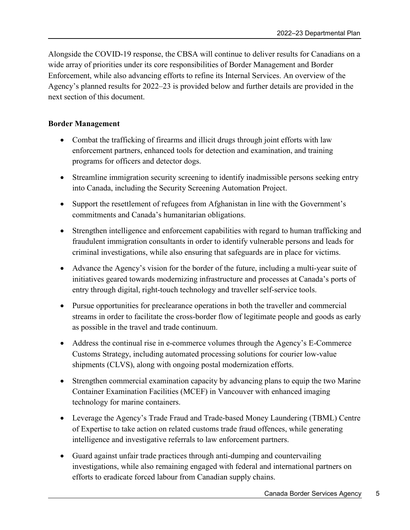Alongside the COVID-19 response, the CBSA will continue to deliver results for Canadians on a wide array of priorities under its core responsibilities of Border Management and Border Enforcement, while also advancing efforts to refine its Internal Services. An overview of the Agency's planned results for 2022–23 is provided below and further details are provided in the next section of this document.

## **Border Management**

- Combat the trafficking of firearms and illicit drugs through joint efforts with law enforcement partners, enhanced tools for detection and examination, and training programs for officers and detector dogs.
- Streamline immigration security screening to identify inadmissible persons seeking entry into Canada, including the Security Screening Automation Project.
- Support the resettlement of refugees from Afghanistan in line with the Government's commitments and Canada's humanitarian obligations.
- Strengthen intelligence and enforcement capabilities with regard to human trafficking and fraudulent immigration consultants in order to identify vulnerable persons and leads for criminal investigations, while also ensuring that safeguards are in place for victims.
- Advance the Agency's vision for the border of the future, including a multi-year suite of initiatives geared towards modernizing infrastructure and processes at Canada's ports of entry through digital, right-touch technology and traveller self-service tools.
- Pursue opportunities for preclearance operations in both the traveller and commercial streams in order to facilitate the cross-border flow of legitimate people and goods as early as possible in the travel and trade continuum.
- Address the continual rise in e-commerce volumes through the Agency's E-Commerce Customs Strategy, including automated processing solutions for courier low-value shipments (CLVS), along with ongoing postal modernization efforts.
- Strengthen commercial examination capacity by advancing plans to equip the two Marine Container Examination Facilities (MCEF) in Vancouver with enhanced imaging technology for marine containers.
- Leverage the Agency's Trade Fraud and Trade-based Money Laundering (TBML) Centre of Expertise to take action on related customs trade fraud offences, while generating intelligence and investigative referrals to law enforcement partners.
- Guard against unfair trade practices through anti-dumping and countervailing investigations, while also remaining engaged with federal and international partners on efforts to eradicate forced labour from Canadian supply chains.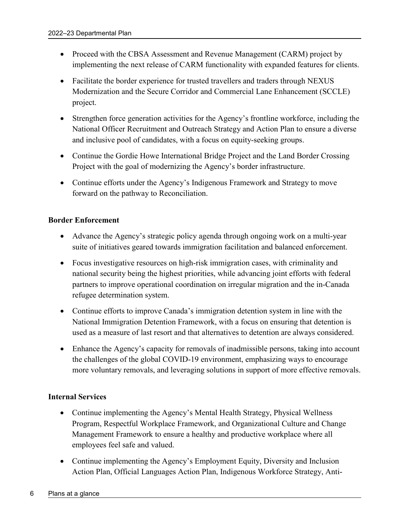- Proceed with the CBSA Assessment and Revenue Management (CARM) project by implementing the next release of CARM functionality with expanded features for clients.
- Facilitate the border experience for trusted travellers and traders through NEXUS Modernization and the Secure Corridor and Commercial Lane Enhancement (SCCLE) project.
- Strengthen force generation activities for the Agency's frontline workforce, including the National Officer Recruitment and Outreach Strategy and Action Plan to ensure a diverse and inclusive pool of candidates, with a focus on equity-seeking groups.
- Continue the Gordie Howe International Bridge Project and the Land Border Crossing Project with the goal of modernizing the Agency's border infrastructure.
- Continue efforts under the Agency's Indigenous Framework and Strategy to move forward on the pathway to Reconciliation.

## **Border Enforcement**

- Advance the Agency's strategic policy agenda through ongoing work on a multi-year suite of initiatives geared towards immigration facilitation and balanced enforcement.
- Focus investigative resources on high-risk immigration cases, with criminality and national security being the highest priorities, while advancing joint efforts with federal partners to improve operational coordination on irregular migration and the in-Canada refugee determination system.
- Continue efforts to improve Canada's immigration detention system in line with the National Immigration Detention Framework, with a focus on ensuring that detention is used as a measure of last resort and that alternatives to detention are always considered.
- Enhance the Agency's capacity for removals of inadmissible persons, taking into account the challenges of the global COVID-19 environment, emphasizing ways to encourage more voluntary removals, and leveraging solutions in support of more effective removals.

## **Internal Services**

- Continue implementing the Agency's Mental Health Strategy, Physical Wellness Program, Respectful Workplace Framework, and Organizational Culture and Change Management Framework to ensure a healthy and productive workplace where all employees feel safe and valued.
- Continue implementing the Agency's Employment Equity, Diversity and Inclusion Action Plan, Official Languages Action Plan, Indigenous Workforce Strategy, Anti-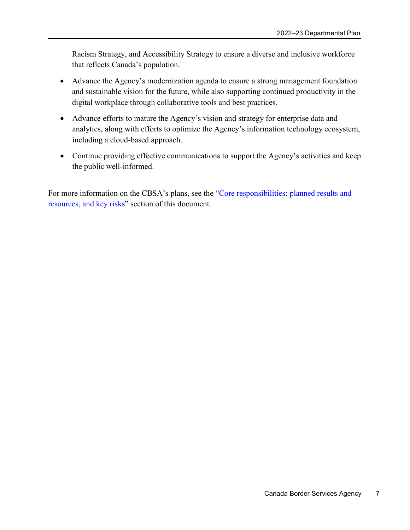Racism Strategy, and Accessibility Strategy to ensure a diverse and inclusive workforce that reflects Canada's population.

- Advance the Agency's modernization agenda to ensure a strong management foundation and sustainable vision for the future, while also supporting continued productivity in the digital workplace through collaborative tools and best practices.
- Advance efforts to mature the Agency's vision and strategy for enterprise data and analytics, along with efforts to optimize the Agency's information technology ecosystem, including a cloud-based approach.
- Continue providing effective communications to support the Agency's activities and keep the public well-informed.

For more information on the CBSA's plans, see the "Core responsibilities: planned results and resources, and key risks" section of this document.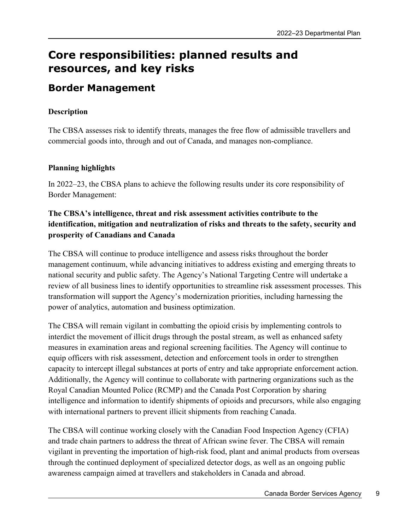# **Core responsibilities: planned results and resources, and key risks**

# **Border Management**

# **Description**

The CBSA assesses risk to identify threats, manages the free flow of admissible travellers and commercial goods into, through and out of Canada, and manages non-compliance.

# **Planning highlights**

In 2022–23, the CBSA plans to achieve the following results under its core responsibility of Border Management:

# **The CBSA's intelligence, threat and risk assessment activities contribute to the identification, mitigation and neutralization of risks and threats to the safety, security and prosperity of Canadians and Canada**

The CBSA will continue to produce intelligence and assess risks throughout the border management continuum, while advancing initiatives to address existing and emerging threats to national security and public safety. The Agency's National Targeting Centre will undertake a review of all business lines to identify opportunities to streamline risk assessment processes. This transformation will support the Agency's modernization priorities, including harnessing the power of analytics, automation and business optimization.

The CBSA will remain vigilant in combatting the opioid crisis by implementing controls to interdict the movement of illicit drugs through the postal stream, as well as enhanced safety measures in examination areas and regional screening facilities. The Agency will continue to equip officers with risk assessment, detection and enforcement tools in order to strengthen capacity to intercept illegal substances at ports of entry and take appropriate enforcement action. Additionally, the Agency will continue to collaborate with partnering organizations such as the Royal Canadian Mounted Police (RCMP) and the Canada Post Corporation by sharing intelligence and information to identify shipments of opioids and precursors, while also engaging with international partners to prevent illicit shipments from reaching Canada.

The CBSA will continue working closely with the Canadian Food Inspection Agency (CFIA) and trade chain partners to address the threat of African swine fever. The CBSA will remain vigilant in preventing the importation of high-risk food, plant and animal products from overseas through the continued deployment of specialized detector dogs, as well as an ongoing public awareness campaign aimed at travellers and stakeholders in Canada and abroad.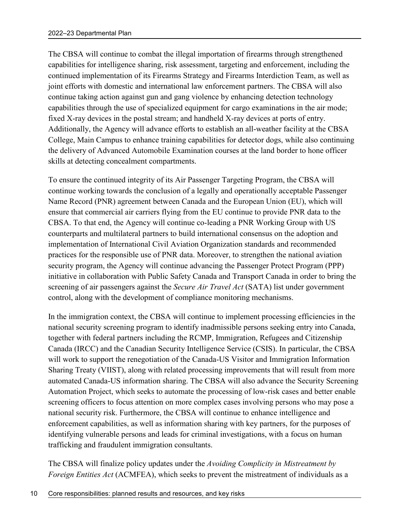The CBSA will continue to combat the illegal importation of firearms through strengthened capabilities for intelligence sharing, risk assessment, targeting and enforcement, including the continued implementation of its Firearms Strategy and Firearms Interdiction Team, as well as joint efforts with domestic and international law enforcement partners. The CBSA will also continue taking action against gun and gang violence by enhancing detection technology capabilities through the use of specialized equipment for cargo examinations in the air mode; fixed X-ray devices in the postal stream; and handheld X-ray devices at ports of entry. Additionally, the Agency will advance efforts to establish an all-weather facility at the CBSA College, Main Campus to enhance training capabilities for detector dogs, while also continuing the delivery of Advanced Automobile Examination courses at the land border to hone officer skills at detecting concealment compartments.

To ensure the continued integrity of its Air Passenger Targeting Program, the CBSA will continue working towards the conclusion of a legally and operationally acceptable Passenger Name Record (PNR) agreement between Canada and the European Union (EU), which will ensure that commercial air carriers flying from the EU continue to provide PNR data to the CBSA. To that end, the Agency will continue co-leading a PNR Working Group with US counterparts and multilateral partners to build international consensus on the adoption and implementation of International Civil Aviation Organization standards and recommended practices for the responsible use of PNR data. Moreover, to strengthen the national aviation security program, the Agency will continue advancing the Passenger Protect Program (PPP) initiative in collaboration with Public Safety Canada and Transport Canada in order to bring the screening of air passengers against the *Secure Air Travel Act* (SATA) list under government control, along with the development of compliance monitoring mechanisms.

In the immigration context, the CBSA will continue to implement processing efficiencies in the national security screening program to identify inadmissible persons seeking entry into Canada, together with federal partners including the RCMP, Immigration, Refugees and Citizenship Canada (IRCC) and the Canadian Security Intelligence Service (CSIS). In particular, the CBSA will work to support the renegotiation of the Canada-US Visitor and Immigration Information Sharing Treaty (VIIST), along with related processing improvements that will result from more automated Canada-US information sharing. The CBSA will also advance the Security Screening Automation Project, which seeks to automate the processing of low-risk cases and better enable screening officers to focus attention on more complex cases involving persons who may pose a national security risk. Furthermore, the CBSA will continue to enhance intelligence and enforcement capabilities, as well as information sharing with key partners, for the purposes of identifying vulnerable persons and leads for criminal investigations, with a focus on human trafficking and fraudulent immigration consultants.

The CBSA will finalize policy updates under the *Avoiding Complicity in Mistreatment by Foreign Entities Act* (ACMFEA), which seeks to prevent the mistreatment of individuals as a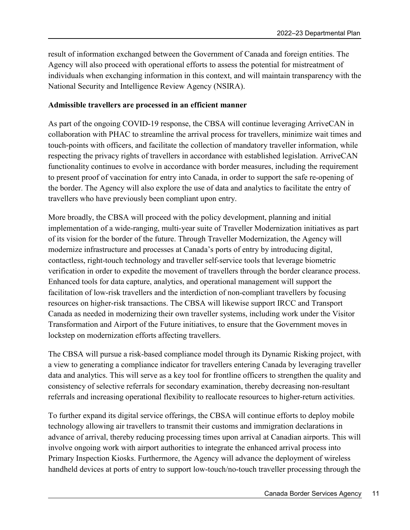result of information exchanged between the Government of Canada and foreign entities. The Agency will also proceed with operational efforts to assess the potential for mistreatment of individuals when exchanging information in this context, and will maintain transparency with the National Security and Intelligence Review Agency (NSIRA).

#### **Admissible travellers are processed in an efficient manner**

As part of the ongoing COVID-19 response, the CBSA will continue leveraging ArriveCAN in collaboration with PHAC to streamline the arrival process for travellers, minimize wait times and touch-points with officers, and facilitate the collection of mandatory traveller information, while respecting the privacy rights of travellers in accordance with established legislation. ArriveCAN functionality continues to evolve in accordance with border measures, including the requirement to present proof of vaccination for entry into Canada, in order to support the safe re-opening of the border. The Agency will also explore the use of data and analytics to facilitate the entry of travellers who have previously been compliant upon entry.

More broadly, the CBSA will proceed with the policy development, planning and initial implementation of a wide-ranging, multi-year suite of Traveller Modernization initiatives as part of its vision for the border of the future. Through Traveller Modernization, the Agency will modernize infrastructure and processes at Canada's ports of entry by introducing digital, contactless, right-touch technology and traveller self-service tools that leverage biometric verification in order to expedite the movement of travellers through the border clearance process. Enhanced tools for data capture, analytics, and operational management will support the facilitation of low-risk travellers and the interdiction of non-compliant travellers by focusing resources on higher-risk transactions. The CBSA will likewise support IRCC and Transport Canada as needed in modernizing their own traveller systems, including work under the Visitor Transformation and Airport of the Future initiatives, to ensure that the Government moves in lockstep on modernization efforts affecting travellers.

The CBSA will pursue a risk-based compliance model through its Dynamic Risking project, with a view to generating a compliance indicator for travellers entering Canada by leveraging traveller data and analytics. This will serve as a key tool for frontline officers to strengthen the quality and consistency of selective referrals for secondary examination, thereby decreasing non-resultant referrals and increasing operational flexibility to reallocate resources to higher-return activities.

To further expand its digital service offerings, the CBSA will continue efforts to deploy mobile technology allowing air travellers to transmit their customs and immigration declarations in advance of arrival, thereby reducing processing times upon arrival at Canadian airports. This will involve ongoing work with airport authorities to integrate the enhanced arrival process into Primary Inspection Kiosks. Furthermore, the Agency will advance the deployment of wireless handheld devices at ports of entry to support low-touch/no-touch traveller processing through the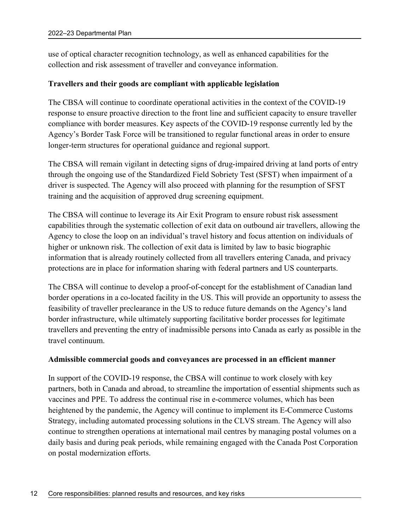use of optical character recognition technology, as well as enhanced capabilities for the collection and risk assessment of traveller and conveyance information.

#### **Travellers and their goods are compliant with applicable legislation**

The CBSA will continue to coordinate operational activities in the context of the COVID-19 response to ensure proactive direction to the front line and sufficient capacity to ensure traveller compliance with border measures. Key aspects of the COVID-19 response currently led by the Agency's Border Task Force will be transitioned to regular functional areas in order to ensure longer-term structures for operational guidance and regional support.

The CBSA will remain vigilant in detecting signs of drug-impaired driving at land ports of entry through the ongoing use of the Standardized Field Sobriety Test (SFST) when impairment of a driver is suspected. The Agency will also proceed with planning for the resumption of SFST training and the acquisition of approved drug screening equipment.

The CBSA will continue to leverage its Air Exit Program to ensure robust risk assessment capabilities through the systematic collection of exit data on outbound air travellers, allowing the Agency to close the loop on an individual's travel history and focus attention on individuals of higher or unknown risk. The collection of exit data is limited by law to basic biographic information that is already routinely collected from all travellers entering Canada, and privacy protections are in place for information sharing with federal partners and US counterparts.

The CBSA will continue to develop a proof-of-concept for the establishment of Canadian land border operations in a co-located facility in the US. This will provide an opportunity to assess the feasibility of traveller preclearance in the US to reduce future demands on the Agency's land border infrastructure, while ultimately supporting facilitative border processes for legitimate travellers and preventing the entry of inadmissible persons into Canada as early as possible in the travel continuum.

#### **Admissible commercial goods and conveyances are processed in an efficient manner**

In support of the COVID-19 response, the CBSA will continue to work closely with key partners, both in Canada and abroad, to streamline the importation of essential shipments such as vaccines and PPE. To address the continual rise in e-commerce volumes, which has been heightened by the pandemic, the Agency will continue to implement its E-Commerce Customs Strategy, including automated processing solutions in the CLVS stream. The Agency will also continue to strengthen operations at international mail centres by managing postal volumes on a daily basis and during peak periods, while remaining engaged with the Canada Post Corporation on postal modernization efforts.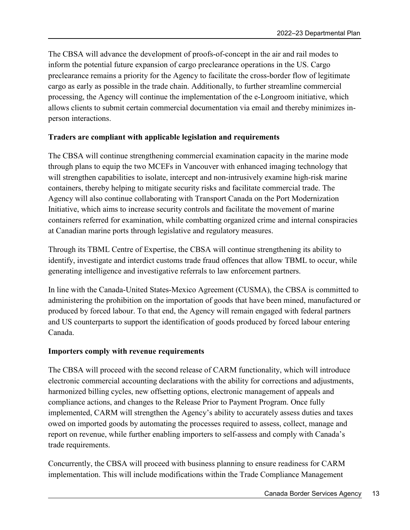The CBSA will advance the development of proofs-of-concept in the air and rail modes to inform the potential future expansion of cargo preclearance operations in the US. Cargo preclearance remains a priority for the Agency to facilitate the cross-border flow of legitimate cargo as early as possible in the trade chain. Additionally, to further streamline commercial processing, the Agency will continue the implementation of the e-Longroom initiative, which allows clients to submit certain commercial documentation via email and thereby minimizes inperson interactions.

## **Traders are compliant with applicable legislation and requirements**

The CBSA will continue strengthening commercial examination capacity in the marine mode through plans to equip the two MCEFs in Vancouver with enhanced imaging technology that will strengthen capabilities to isolate, intercept and non-intrusively examine high-risk marine containers, thereby helping to mitigate security risks and facilitate commercial trade. The Agency will also continue collaborating with Transport Canada on the Port Modernization Initiative, which aims to increase security controls and facilitate the movement of marine containers referred for examination, while combatting organized crime and internal conspiracies at Canadian marine ports through legislative and regulatory measures.

Through its TBML Centre of Expertise, the CBSA will continue strengthening its ability to identify, investigate and interdict customs trade fraud offences that allow TBML to occur, while generating intelligence and investigative referrals to law enforcement partners.

In line with the Canada-United States-Mexico Agreement (CUSMA), the CBSA is committed to administering the prohibition on the importation of goods that have been mined, manufactured or produced by forced labour. To that end, the Agency will remain engaged with federal partners and US counterparts to support the identification of goods produced by forced labour entering Canada.

## **Importers comply with revenue requirements**

The CBSA will proceed with the second release of CARM functionality, which will introduce electronic commercial accounting declarations with the ability for corrections and adjustments, harmonized billing cycles, new offsetting options, electronic management of appeals and compliance actions, and changes to the Release Prior to Payment Program. Once fully implemented, CARM will strengthen the Agency's ability to accurately assess duties and taxes owed on imported goods by automating the processes required to assess, collect, manage and report on revenue, while further enabling importers to self-assess and comply with Canada's trade requirements.

Concurrently, the CBSA will proceed with business planning to ensure readiness for CARM implementation. This will include modifications within the Trade Compliance Management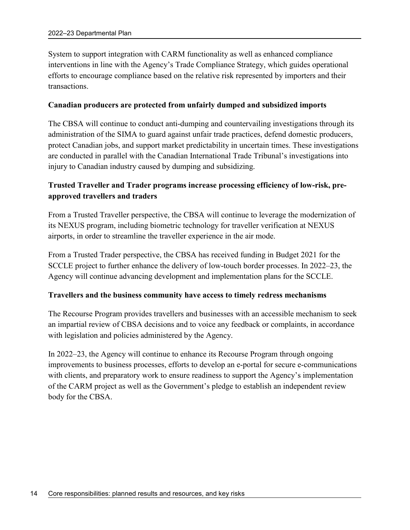System to support integration with CARM functionality as well as enhanced compliance interventions in line with the Agency's Trade Compliance Strategy, which guides operational efforts to encourage compliance based on the relative risk represented by importers and their transactions.

#### **Canadian producers are protected from unfairly dumped and subsidized imports**

The CBSA will continue to conduct anti-dumping and countervailing investigations through its administration of the SIMA to guard against unfair trade practices, defend domestic producers, protect Canadian jobs, and support market predictability in uncertain times. These investigations are conducted in parallel with the Canadian International Trade Tribunal's investigations into injury to Canadian industry caused by dumping and subsidizing.

# **Trusted Traveller and Trader programs increase processing efficiency of low-risk, preapproved travellers and traders**

From a Trusted Traveller perspective, the CBSA will continue to leverage the modernization of its NEXUS program, including biometric technology for traveller verification at NEXUS airports, in order to streamline the traveller experience in the air mode.

From a Trusted Trader perspective, the CBSA has received funding in Budget 2021 for the SCCLE project to further enhance the delivery of low-touch border processes. In 2022–23, the Agency will continue advancing development and implementation plans for the SCCLE.

#### **Travellers and the business community have access to timely redress mechanisms**

The Recourse Program provides travellers and businesses with an accessible mechanism to seek an impartial review of CBSA decisions and to voice any feedback or complaints, in accordance with legislation and policies administered by the Agency.

In 2022–23, the Agency will continue to enhance its Recourse Program through ongoing improvements to business processes, efforts to develop an e-portal for secure e-communications with clients, and preparatory work to ensure readiness to support the Agency's implementation of the CARM project as well as the Government's pledge to establish an independent review body for the CBSA.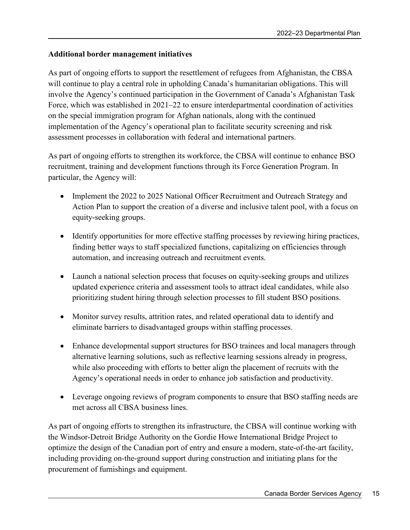## **Additional border management initiatives**

As part of ongoing efforts to support the resettlement of refugees from Afghanistan, the CBSA will continue to play a central role in upholding Canada's humanitarian obligations. This will involve the Agency's continued participation in the Government of Canada's Afghanistan Task Force, which was established in 2021–22 to ensure interdepartmental coordination of activities on the special immigration program for Afghan nationals, along with the continued implementation of the Agency's operational plan to facilitate security screening and risk assessment processes in collaboration with federal and international partners.

As part of ongoing efforts to strengthen its workforce, the CBSA will continue to enhance BSO recruitment, training and development functions through its Force Generation Program. In particular, the Agency will:

- Implement the 2022 to 2025 National Officer Recruitment and Outreach Strategy and Action Plan to support the creation of a diverse and inclusive talent pool, with a focus on equity-seeking groups.
- Identify opportunities for more effective staffing processes by reviewing hiring practices, finding better ways to staff specialized functions, capitalizing on efficiencies through automation, and increasing outreach and recruitment events.
- Launch a national selection process that focuses on equity-seeking groups and utilizes updated experience criteria and assessment tools to attract ideal candidates, while also prioritizing student hiring through selection processes to fill student BSO positions.
- Monitor survey results, attrition rates, and related operational data to identify and eliminate barriers to disadvantaged groups within staffing processes.
- Enhance developmental support structures for BSO trainees and local managers through alternative learning solutions, such as reflective learning sessions already in progress, while also proceeding with efforts to better align the placement of recruits with the Agency's operational needs in order to enhance job satisfaction and productivity.
- Leverage ongoing reviews of program components to ensure that BSO staffing needs are met across all CBSA business lines.

As part of ongoing efforts to strengthen its infrastructure, the CBSA will continue working with the Windsor-Detroit Bridge Authority on the Gordie Howe International Bridge Project to optimize the design of the Canadian port of entry and ensure a modern, state-of-the-art facility, including providing on-the-ground support during construction and initiating plans for the procurement of furnishings and equipment.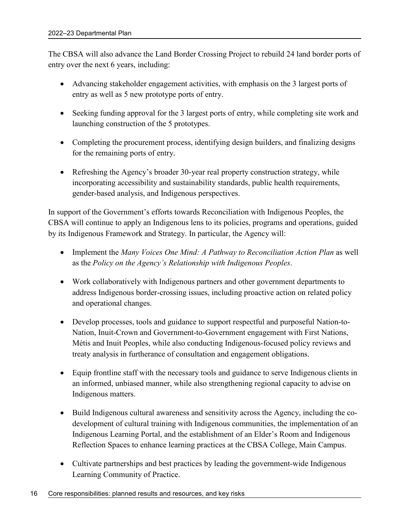The CBSA will also advance the Land Border Crossing Project to rebuild 24 land border ports of entry over the next 6 years, including:

- Advancing stakeholder engagement activities, with emphasis on the 3 largest ports of entry as well as 5 new prototype ports of entry.
- Seeking funding approval for the 3 largest ports of entry, while completing site work and launching construction of the 5 prototypes.
- Completing the procurement process, identifying design builders, and finalizing designs for the remaining ports of entry.
- Refreshing the Agency's broader 30-year real property construction strategy, while incorporating accessibility and sustainability standards, public health requirements, gender-based analysis, and Indigenous perspectives.

In support of the Government's efforts towards Reconciliation with Indigenous Peoples, the CBSA will continue to apply an Indigenous lens to its policies, programs and operations, guided by its Indigenous Framework and Strategy. In particular, the Agency will:

- Implement the *Many Voices One Mind: A Pathway to Reconciliation Action Plan* as well as the *Policy on the Agency's Relationship with Indigenous Peoples*.
- Work collaboratively with Indigenous partners and other government departments to address Indigenous border-crossing issues, including proactive action on related policy and operational changes.
- Develop processes, tools and guidance to support respectful and purposeful Nation-to-Nation, Inuit-Crown and Government-to-Government engagement with First Nations, Métis and Inuit Peoples, while also conducting Indigenous-focused policy reviews and treaty analysis in furtherance of consultation and engagement obligations.
- Equip frontline staff with the necessary tools and guidance to serve Indigenous clients in an informed, unbiased manner, while also strengthening regional capacity to advise on Indigenous matters.
- Build Indigenous cultural awareness and sensitivity across the Agency, including the codevelopment of cultural training with Indigenous communities, the implementation of an Indigenous Learning Portal, and the establishment of an Elder's Room and Indigenous Reflection Spaces to enhance learning practices at the CBSA College, Main Campus.
- Cultivate partnerships and best practices by leading the government-wide Indigenous Learning Community of Practice.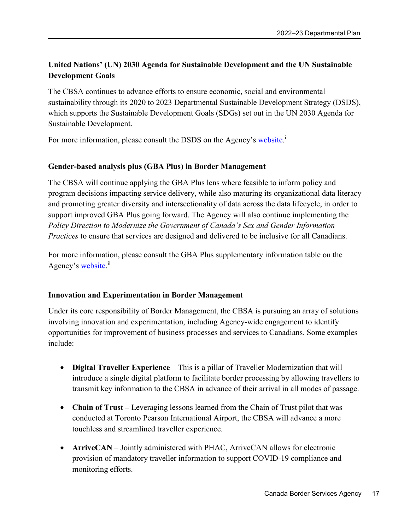# **United Nations' (UN) 2030 Agenda for Sustainable Development and the UN Sustainable Development Goals**

The CBSA continues to advance efforts to ensure economic, social and environmental sustainability through its 2020 to 2023 Departmental Sustainable Development Strategy (DSDS), which supports the Sustainable Development Goals (SDGs) set out in the UN 2030 Agenda for Sustainable Development.

For more information, please consult the DSDS on the Agency's website.<sup>i</sup>

# **Gender-based analysis plus (GBA Plus) in Border Management**

The CBSA will continue applying the GBA Plus lens where feasible to inform policy and program decisions impacting service delivery, while also maturing its organizational data literacy and promoting greater diversity and intersectionality of data across the data lifecycle, in order to support improved GBA Plus going forward. The Agency will also continue implementing the *Policy Direction to Modernize the Government of Canada's Sex and Gender Information Practices* to ensure that services are designed and delivered to be inclusive for all Canadians.

For more information, please consult the GBA Plus supplementary information table on the Agency's website.<sup>ii</sup>

## **Innovation and Experimentation in Border Management**

Under its core responsibility of Border Management, the CBSA is pursuing an array of solutions involving innovation and experimentation, including Agency-wide engagement to identify opportunities for improvement of business processes and services to Canadians. Some examples include:

- **Digital Traveller Experience**  This is a pillar of Traveller Modernization that will introduce a single digital platform to facilitate border processing by allowing travellers to transmit key information to the CBSA in advance of their arrival in all modes of passage.
- **Chain of Trust** Leveraging lessons learned from the Chain of Trust pilot that was conducted at Toronto Pearson International Airport, the CBSA will advance a more touchless and streamlined traveller experience.
- **ArriveCAN** Jointly administered with PHAC, ArriveCAN allows for electronic provision of mandatory traveller information to support COVID-19 compliance and monitoring efforts.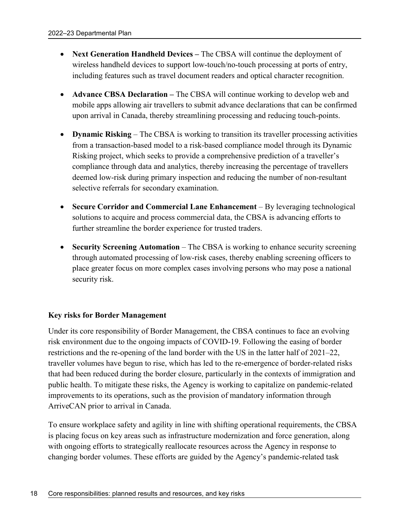- **Next Generation Handheld Devices –** The CBSA will continue the deployment of wireless handheld devices to support low-touch/no-touch processing at ports of entry, including features such as travel document readers and optical character recognition.
- **Advance CBSA Declaration –** The CBSA will continue working to develop web and mobile apps allowing air travellers to submit advance declarations that can be confirmed upon arrival in Canada, thereby streamlining processing and reducing touch-points.
- **•** Dynamic Risking The CBSA is working to transition its traveller processing activities from a transaction-based model to a risk-based compliance model through its Dynamic Risking project, which seeks to provide a comprehensive prediction of a traveller's compliance through data and analytics, thereby increasing the percentage of travellers deemed low-risk during primary inspection and reducing the number of non-resultant selective referrals for secondary examination.
- **Secure Corridor and Commercial Lane Enhancement** By leveraging technological solutions to acquire and process commercial data, the CBSA is advancing efforts to further streamline the border experience for trusted traders.
- **Security Screening Automation** The CBSA is working to enhance security screening through automated processing of low-risk cases, thereby enabling screening officers to place greater focus on more complex cases involving persons who may pose a national security risk.

## **Key risks for Border Management**

Under its core responsibility of Border Management, the CBSA continues to face an evolving risk environment due to the ongoing impacts of COVID-19. Following the easing of border restrictions and the re-opening of the land border with the US in the latter half of 2021–22, traveller volumes have begun to rise, which has led to the re-emergence of border-related risks that had been reduced during the border closure, particularly in the contexts of immigration and public health. To mitigate these risks, the Agency is working to capitalize on pandemic-related improvements to its operations, such as the provision of mandatory information through ArriveCAN prior to arrival in Canada.

To ensure workplace safety and agility in line with shifting operational requirements, the CBSA is placing focus on key areas such as infrastructure modernization and force generation, along with ongoing efforts to strategically reallocate resources across the Agency in response to changing border volumes. These efforts are guided by the Agency's pandemic-related task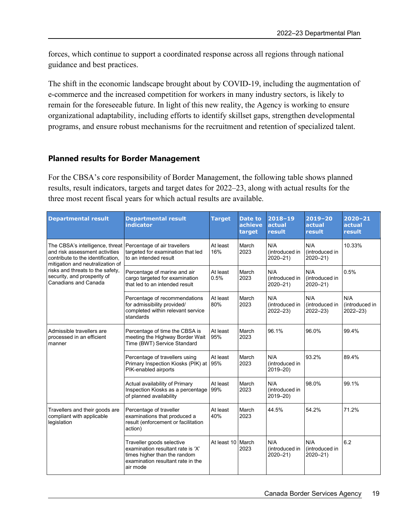forces, which continue to support a coordinated response across all regions through national guidance and best practices.

The shift in the economic landscape brought about by COVID-19, including the augmentation of e-commerce and the increased competition for workers in many industry sectors, is likely to remain for the foreseeable future. In light of this new reality, the Agency is working to ensure organizational adaptability, including efforts to identify skillset gaps, strengthen developmental programs, and ensure robust mechanisms for the recruitment and retention of specialized talent.

#### **Planned results for Border Management**

For the CBSA's core responsibility of Border Management, the following table shows planned results, result indicators, targets and target dates for 2022–23, along with actual results for the three most recent fiscal years for which actual results are available.

| <b>Departmental result</b>                                                                                                                 | <b>Departmental result</b><br><b>indicator</b>                                                                                                  | <b>Target</b>     | Date to<br>achieve<br>target | $2018 - 19$<br>actual<br>result      | $2019 - 20$<br>actual<br>result      | $2020 - 21$<br>actual<br>result      |
|--------------------------------------------------------------------------------------------------------------------------------------------|-------------------------------------------------------------------------------------------------------------------------------------------------|-------------------|------------------------------|--------------------------------------|--------------------------------------|--------------------------------------|
| The CBSA's intelligence, threat<br>and risk assessment activities<br>contribute to the identification.<br>mitigation and neutralization of | Percentage of air travellers<br>targeted for examination that led<br>to an intended result                                                      | At least<br>16%   | March<br>2023                | N/A<br>(introduced in<br>$2020 - 21$ | N/A<br>(introduced in<br>$2020 - 21$ | 10.33%                               |
| risks and threats to the safety,<br>security, and prosperity of<br>Canadians and Canada                                                    | Percentage of marine and air<br>cargo targeted for examination<br>that led to an intended result                                                | At least<br>0.5%  | March<br>2023                | N/A<br>(introduced in<br>$2020 - 21$ | N/A<br>(introduced in<br>$2020 - 21$ | 0.5%                                 |
|                                                                                                                                            | Percentage of recommendations<br>for admissibility provided/<br>completed within relevant service<br>standards                                  | At least<br>80%   | March<br>2023                | N/A<br>(introduced in<br>$2022 - 23$ | N/A<br>(introduced in<br>$2022 - 23$ | N/A<br>(introduced in<br>$2022 - 23$ |
| Admissible travellers are<br>processed in an efficient<br>manner                                                                           | Percentage of time the CBSA is<br>meeting the Highway Border Wait<br>Time (BWT) Service Standard                                                | At least<br>95%   | March<br>2023                | 96.1%                                | 96.0%                                | 99.4%                                |
|                                                                                                                                            | Percentage of travellers using<br>Primary Inspection Kiosks (PIK) at<br>PIK-enabled airports                                                    | At least<br>95%   | March<br>2023                | N/A<br>(introduced in<br>2019-20)    | 93.2%                                | 89.4%                                |
|                                                                                                                                            | Actual availability of Primary<br>Inspection Kiosks as a percentage<br>of planned availability                                                  | At least<br>99%   | March<br>2023                | N/A<br>(introduced in<br>2019-20)    | 98.0%                                | 99.1%                                |
| Travellers and their goods are<br>compliant with applicable<br>legislation                                                                 | Percentage of traveller<br>examinations that produced a<br>result (enforcement or facilitation<br>action)                                       | At least<br>40%   | March<br>2023                | 44.5%                                | 54.2%                                | 71.2%                                |
|                                                                                                                                            | Traveller goods selective<br>examination resultant rate is 'X'<br>times higher than the random<br>examination resultant rate in the<br>air mode | At least 10 March | 2023                         | N/A<br>(introduced in<br>$2020 - 21$ | N/A<br>(introduced in<br>$2020 - 21$ | 6.2                                  |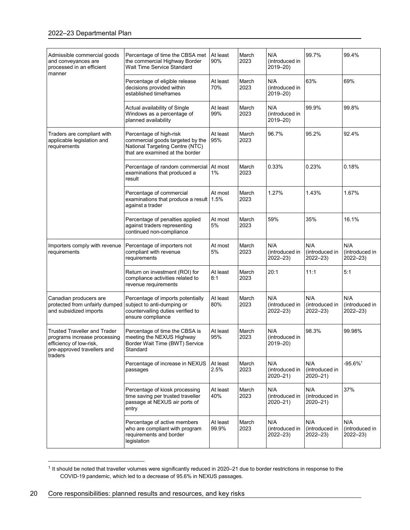| Admissible commercial goods<br>and conveyances are<br>processed in an efficient<br>manner                                                | Percentage of time the CBSA met<br>the commercial Highway Border<br>Wait Time Service Standard                                    | At least<br>90%   | March<br>2023 | N/A<br>(introduced in<br>2019-20)    | 99.7%                                | 99.4%                                |
|------------------------------------------------------------------------------------------------------------------------------------------|-----------------------------------------------------------------------------------------------------------------------------------|-------------------|---------------|--------------------------------------|--------------------------------------|--------------------------------------|
|                                                                                                                                          | Percentage of eligible release<br>decisions provided within<br>established timeframes                                             | At least<br>70%   | March<br>2023 | N/A<br>(introduced in<br>2019-20)    | 63%                                  | 69%                                  |
|                                                                                                                                          | Actual availability of Single<br>Windows as a percentage of<br>planned availability                                               | At least<br>99%   | March<br>2023 | N/A<br>(introduced in<br>2019-20)    | 99.9%                                | 99.8%                                |
| Traders are compliant with<br>applicable legislation and<br>requirements                                                                 | Percentage of high-risk<br>commercial goods targeted by the<br>National Targeting Centre (NTC)<br>that are examined at the border | At least<br>95%   | March<br>2023 | 96.7%                                | 95.2%                                | 92.4%                                |
|                                                                                                                                          | Percentage of random commercial At most<br>examinations that produced a<br>result                                                 | 1%                | March<br>2023 | 0.33%                                | 0.23%                                | 0.18%                                |
|                                                                                                                                          | Percentage of commercial<br>examinations that produce a result<br>against a trader                                                | At most<br>1.5%   | March<br>2023 | 1.27%                                | 1.43%                                | 1.67%                                |
|                                                                                                                                          | Percentage of penalties applied<br>against traders representing<br>continued non-compliance                                       | At most<br>5%     | March<br>2023 | 59%                                  | 35%                                  | 16.1%                                |
| Importers comply with revenue<br>requirements                                                                                            | Percentage of importers not<br>compliant with revenue<br>requirements                                                             | At most<br>5%     | March<br>2023 | N/A<br>(introduced in<br>$2022 - 23$ | N/A<br>(introduced in<br>$2022 - 23$ | N/A<br>(introduced in<br>$2022 - 23$ |
|                                                                                                                                          | Return on investment (ROI) for<br>compliance activities related to<br>revenue requirements                                        | At least<br>8:1   | March<br>2023 | 20:1                                 | 11:1                                 | 5:1                                  |
| Canadian producers are<br>protected from unfairly dumped<br>and subsidized imports                                                       | Percentage of imports potentially<br>subject to anti-dumping or<br>countervailing duties verified to<br>ensure compliance         | At least<br>80%   | March<br>2023 | N/A<br>(introduced in<br>$2022 - 23$ | N/A<br>(introduced in<br>$2022 - 23$ | N/A<br>(introduced in<br>$2022 - 23$ |
| <b>Trusted Traveller and Trader</b><br>programs increase processing<br>efficiency of low-risk,<br>pre-approved travellers and<br>traders | Percentage of time the CBSA is<br>meeting the NEXUS Highway<br>Border Wait Time (BWT) Service<br>Standard                         | At least<br>95%   | March<br>2023 | N/A<br>(introduced in<br>$2019 - 20$ | 98.3%                                | 99.98%                               |
|                                                                                                                                          | Percentage of increase in NEXUS<br>passages                                                                                       | At least<br>2.5%  | March<br>2023 | N/A<br>(introduced in<br>$2020 - 21$ | N/A<br>(introduced in<br>$2020 - 21$ | $-95.6\%$ <sup>1</sup>               |
|                                                                                                                                          | Percentage of kiosk processing<br>time saving per trusted traveller<br>passage at NEXUS air ports of<br>entry                     | At least<br>40%   | March<br>2023 | N/A<br>(introduced in<br>$2020 - 21$ | N/A<br>(introduced in<br>$2020 - 21$ | 37%                                  |
|                                                                                                                                          | Percentage of active members<br>who are compliant with program<br>requirements and border<br>legislation                          | At least<br>99.9% | March<br>2023 | N/A<br>(introduced in<br>$2022 - 23$ | N/A<br>(introduced in<br>$2022 - 23$ | N/A<br>(introduced in<br>$2022 - 23$ |

 $\overline{a}$  $1$  It should be noted that traveller volumes were significantly reduced in 2020–21 due to border restrictions in response to the COVID-19 pandemic, which led to a decrease of 95.6% in NEXUS passages.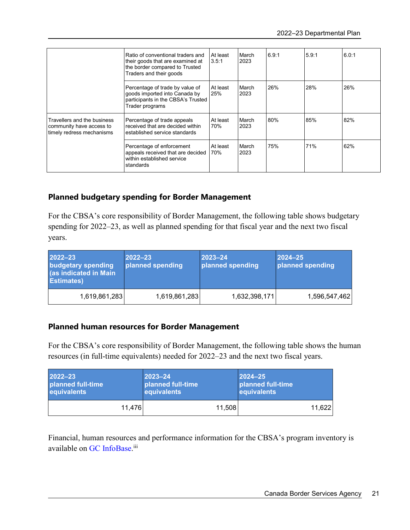|                                                                                      | Ratio of conventional traders and<br>their goods that are examined at<br>the border compared to Trusted<br>Traders and their goods | At least<br>3.5:1 | March<br>2023 | 6.9.1 | 5.9:1 | 6.0:1 |
|--------------------------------------------------------------------------------------|------------------------------------------------------------------------------------------------------------------------------------|-------------------|---------------|-------|-------|-------|
|                                                                                      | Percentage of trade by value of<br>goods imported into Canada by<br>participants in the CBSA's Trusted<br>Trader programs          | At least<br>25%   | March<br>2023 | 26%   | 28%   | 26%   |
| Travellers and the business<br>community have access to<br>timely redress mechanisms | Percentage of trade appeals<br>received that are decided within<br>established service standards                                   | At least<br>70%   | March<br>2023 | 80%   | 85%   | 82%   |
|                                                                                      | Percentage of enforcement<br>appeals received that are decided<br>within established service<br>standards                          | At least<br>70%   | March<br>2023 | 75%   | 71%   | 62%   |

# **Planned budgetary spending for Border Management**

For the CBSA's core responsibility of Border Management, the following table shows budgetary spending for 2022–23, as well as planned spending for that fiscal year and the next two fiscal years.

| 2022-23<br>budgetary spending<br>(as indicated in Main<br><b>Estimates</b> ) | 2022-23<br>planned spending | $ 2023 - 24 $<br>planned spending | $ 2024 - 25 $<br>planned spending |
|------------------------------------------------------------------------------|-----------------------------|-----------------------------------|-----------------------------------|
| 1,619,861,283                                                                | 1,619,861,283               | 1,632,398,171                     | 1,596,547,462                     |

## **Planned human resources for Border Management**

For the CBSA's core responsibility of Border Management, the following table shows the human resources (in full-time equivalents) needed for 2022–23 and the next two fiscal years.

| 2022-23           | $ 2023 - 24 $     | $2024 - 25$       |
|-------------------|-------------------|-------------------|
| planned full-time | planned full-time | planned full-time |
| equivalents       | equivalents       | equivalents       |
| 11.476            | 11,508            | 11.622            |

Financial, human resources and performance information for the CBSA's program inventory is available on GC InfoBase.<sup>iii</sup>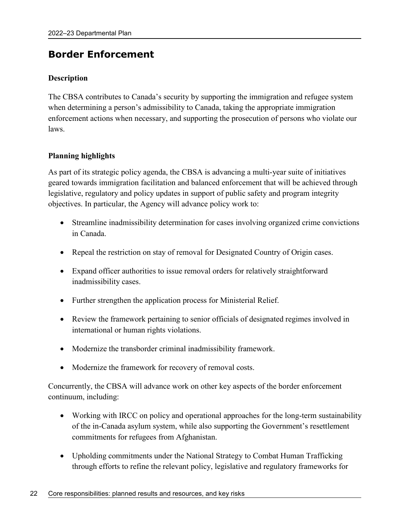# **Border Enforcement**

# **Description**

The CBSA contributes to Canada's security by supporting the immigration and refugee system when determining a person's admissibility to Canada, taking the appropriate immigration enforcement actions when necessary, and supporting the prosecution of persons who violate our laws.

# **Planning highlights**

As part of its strategic policy agenda, the CBSA is advancing a multi-year suite of initiatives geared towards immigration facilitation and balanced enforcement that will be achieved through legislative, regulatory and policy updates in support of public safety and program integrity objectives. In particular, the Agency will advance policy work to:

- Streamline inadmissibility determination for cases involving organized crime convictions in Canada.
- Repeal the restriction on stay of removal for Designated Country of Origin cases.
- Expand officer authorities to issue removal orders for relatively straightforward inadmissibility cases.
- Further strengthen the application process for Ministerial Relief.
- Review the framework pertaining to senior officials of designated regimes involved in international or human rights violations.
- Modernize the transborder criminal inadmissibility framework.
- Modernize the framework for recovery of removal costs.

Concurrently, the CBSA will advance work on other key aspects of the border enforcement continuum, including:

- Working with IRCC on policy and operational approaches for the long-term sustainability of the in-Canada asylum system, while also supporting the Government's resettlement commitments for refugees from Afghanistan.
- Upholding commitments under the National Strategy to Combat Human Trafficking through efforts to refine the relevant policy, legislative and regulatory frameworks for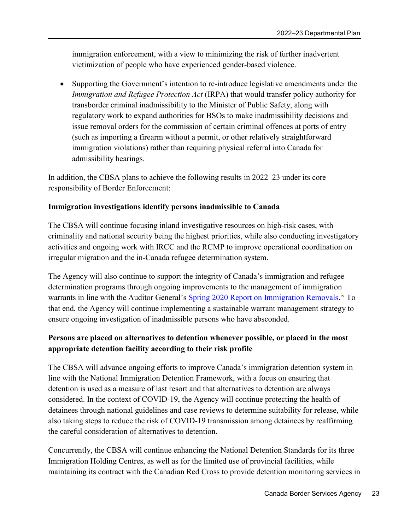immigration enforcement, with a view to minimizing the risk of further inadvertent victimization of people who have experienced gender-based violence.

 Supporting the Government's intention to re-introduce legislative amendments under the *Immigration and Refugee Protection Act* (IRPA) that would transfer policy authority for transborder criminal inadmissibility to the Minister of Public Safety, along with regulatory work to expand authorities for BSOs to make inadmissibility decisions and issue removal orders for the commission of certain criminal offences at ports of entry (such as importing a firearm without a permit, or other relatively straightforward immigration violations) rather than requiring physical referral into Canada for admissibility hearings.

In addition, the CBSA plans to achieve the following results in 2022–23 under its core responsibility of Border Enforcement:

# **Immigration investigations identify persons inadmissible to Canada**

The CBSA will continue focusing inland investigative resources on high-risk cases, with criminality and national security being the highest priorities, while also conducting investigatory activities and ongoing work with IRCC and the RCMP to improve operational coordination on irregular migration and the in-Canada refugee determination system.

The Agency will also continue to support the integrity of Canada's immigration and refugee determination programs through ongoing improvements to the management of immigration warrants in line with the Auditor General's Spring 2020 Report on Immigration Removals.<sup>iv</sup> To that end, the Agency will continue implementing a sustainable warrant management strategy to ensure ongoing investigation of inadmissible persons who have absconded.

# **Persons are placed on alternatives to detention whenever possible, or placed in the most appropriate detention facility according to their risk profile**

The CBSA will advance ongoing efforts to improve Canada's immigration detention system in line with the National Immigration Detention Framework, with a focus on ensuring that detention is used as a measure of last resort and that alternatives to detention are always considered. In the context of COVID-19, the Agency will continue protecting the health of detainees through national guidelines and case reviews to determine suitability for release, while also taking steps to reduce the risk of COVID-19 transmission among detainees by reaffirming the careful consideration of alternatives to detention.

Concurrently, the CBSA will continue enhancing the National Detention Standards for its three Immigration Holding Centres, as well as for the limited use of provincial facilities, while maintaining its contract with the Canadian Red Cross to provide detention monitoring services in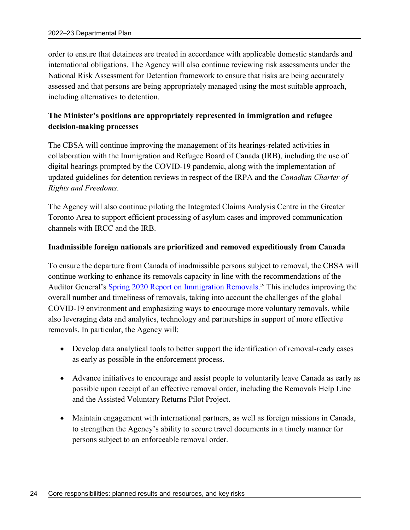order to ensure that detainees are treated in accordance with applicable domestic standards and international obligations. The Agency will also continue reviewing risk assessments under the National Risk Assessment for Detention framework to ensure that risks are being accurately assessed and that persons are being appropriately managed using the most suitable approach, including alternatives to detention.

# **The Minister's positions are appropriately represented in immigration and refugee decision-making processes**

The CBSA will continue improving the management of its hearings-related activities in collaboration with the Immigration and Refugee Board of Canada (IRB), including the use of digital hearings prompted by the COVID-19 pandemic, along with the implementation of updated guidelines for detention reviews in respect of the IRPA and the *Canadian Charter of Rights and Freedoms*.

The Agency will also continue piloting the Integrated Claims Analysis Centre in the Greater Toronto Area to support efficient processing of asylum cases and improved communication channels with IRCC and the IRB.

#### **Inadmissible foreign nationals are prioritized and removed expeditiously from Canada**

To ensure the departure from Canada of inadmissible persons subject to removal, the CBSA will continue working to enhance its removals capacity in line with the recommendations of the Auditor General's Spring 2020 Report on Immigration Removals.<sup>iv</sup> This includes improving the overall number and timeliness of removals, taking into account the challenges of the global COVID-19 environment and emphasizing ways to encourage more voluntary removals, while also leveraging data and analytics, technology and partnerships in support of more effective removals. In particular, the Agency will:

- Develop data analytical tools to better support the identification of removal-ready cases as early as possible in the enforcement process.
- Advance initiatives to encourage and assist people to voluntarily leave Canada as early as possible upon receipt of an effective removal order, including the Removals Help Line and the Assisted Voluntary Returns Pilot Project.
- Maintain engagement with international partners, as well as foreign missions in Canada, to strengthen the Agency's ability to secure travel documents in a timely manner for persons subject to an enforceable removal order.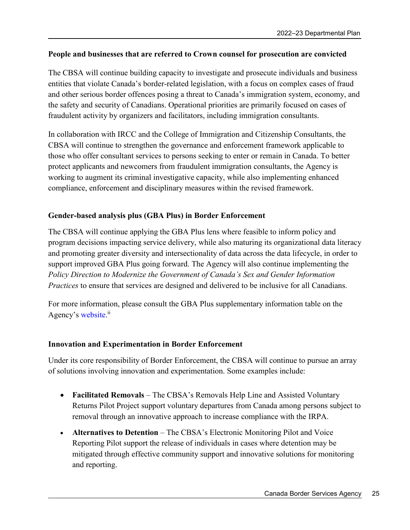## **People and businesses that are referred to Crown counsel for prosecution are convicted**

The CBSA will continue building capacity to investigate and prosecute individuals and business entities that violate Canada's border-related legislation, with a focus on complex cases of fraud and other serious border offences posing a threat to Canada's immigration system, economy, and the safety and security of Canadians. Operational priorities are primarily focused on cases of fraudulent activity by organizers and facilitators, including immigration consultants.

In collaboration with IRCC and the College of Immigration and Citizenship Consultants, the CBSA will continue to strengthen the governance and enforcement framework applicable to those who offer consultant services to persons seeking to enter or remain in Canada. To better protect applicants and newcomers from fraudulent immigration consultants, the Agency is working to augment its criminal investigative capacity, while also implementing enhanced compliance, enforcement and disciplinary measures within the revised framework.

## **Gender-based analysis plus (GBA Plus) in Border Enforcement**

The CBSA will continue applying the GBA Plus lens where feasible to inform policy and program decisions impacting service delivery, while also maturing its organizational data literacy and promoting greater diversity and intersectionality of data across the data lifecycle, in order to support improved GBA Plus going forward. The Agency will also continue implementing the *Policy Direction to Modernize the Government of Canada's Sex and Gender Information Practices* to ensure that services are designed and delivered to be inclusive for all Canadians.

For more information, please consult the GBA Plus supplementary information table on the Agency's website.<sup>ii</sup>

#### **Innovation and Experimentation in Border Enforcement**

Under its core responsibility of Border Enforcement, the CBSA will continue to pursue an array of solutions involving innovation and experimentation. Some examples include:

- **Facilitated Removals** The CBSA's Removals Help Line and Assisted Voluntary Returns Pilot Project support voluntary departures from Canada among persons subject to removal through an innovative approach to increase compliance with the IRPA.
- **Alternatives to Detention** The CBSA's Electronic Monitoring Pilot and Voice Reporting Pilot support the release of individuals in cases where detention may be mitigated through effective community support and innovative solutions for monitoring and reporting.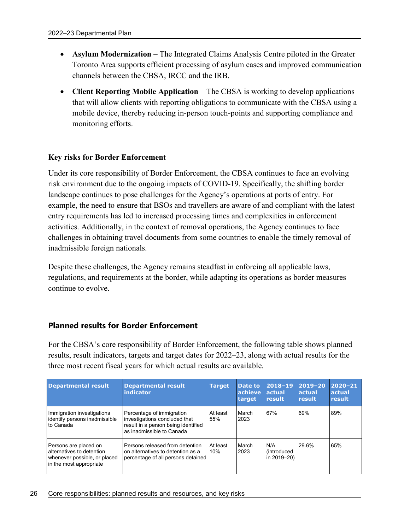- **Asylum Modernization** The Integrated Claims Analysis Centre piloted in the Greater Toronto Area supports efficient processing of asylum cases and improved communication channels between the CBSA, IRCC and the IRB.
- **Client Reporting Mobile Application** The CBSA is working to develop applications that will allow clients with reporting obligations to communicate with the CBSA using a mobile device, thereby reducing in-person touch-points and supporting compliance and monitoring efforts.

#### **Key risks for Border Enforcement**

Under its core responsibility of Border Enforcement, the CBSA continues to face an evolving risk environment due to the ongoing impacts of COVID-19. Specifically, the shifting border landscape continues to pose challenges for the Agency's operations at ports of entry. For example, the need to ensure that BSOs and travellers are aware of and compliant with the latest entry requirements has led to increased processing times and complexities in enforcement activities. Additionally, in the context of removal operations, the Agency continues to face challenges in obtaining travel documents from some countries to enable the timely removal of inadmissible foreign nationals.

Despite these challenges, the Agency remains steadfast in enforcing all applicable laws, regulations, and requirements at the border, while adapting its operations as border measures continue to evolve.

## **Planned results for Border Enforcement**

For the CBSA's core responsibility of Border Enforcement, the following table shows planned results, result indicators, targets and target dates for 2022–23, along with actual results for the three most recent fiscal years for which actual results are available.

| <b>Departmental result</b>                                                                                    | <b>Departmental result</b><br><b>indicator</b>                                                                                 | <b>Target</b>   | Date to<br>achieve<br>target | $2018 - 19$<br><b>actual</b><br>result    | $2019 - 20$<br>actual<br>result | $ 2020 - 21 $<br><b>actual</b><br>result |
|---------------------------------------------------------------------------------------------------------------|--------------------------------------------------------------------------------------------------------------------------------|-----------------|------------------------------|-------------------------------------------|---------------------------------|------------------------------------------|
| Immigration investigations<br>identify persons inadmissible<br>Ito Canada                                     | Percentage of immigration<br>investigations concluded that<br>result in a person being identified<br>as inadmissible to Canada | At least<br>55% | March<br>2023                | 67%                                       | 69%                             | 89%                                      |
| Persons are placed on<br>alternatives to detention<br>whenever possible, or placed<br>in the most appropriate | Persons released from detention<br>on alternatives to detention as a<br>percentage of all persons detained                     | At least<br>10% | March<br>2023                | N/A<br><i>(introduced)</i><br>in 2019-20) | 29.6%                           | 65%                                      |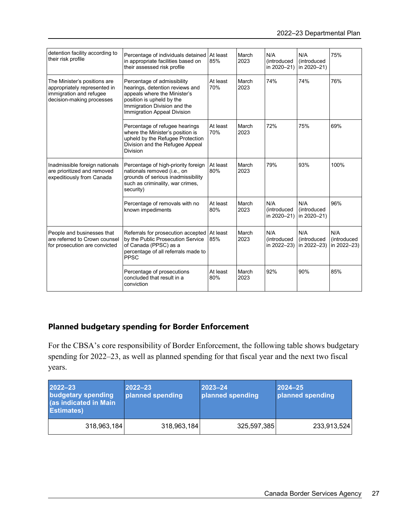| detention facility according to<br>their risk profile                                                                | Percentage of individuals detained<br>in appropriate facilities based on<br>their assessed risk profile                                                                                           | At least<br>85% | March<br>2023 | N/A<br>(introduced<br>in 2020-21)         | N/A<br><i>(introduced)</i><br>in 2020-21) | 75%                               |
|----------------------------------------------------------------------------------------------------------------------|---------------------------------------------------------------------------------------------------------------------------------------------------------------------------------------------------|-----------------|---------------|-------------------------------------------|-------------------------------------------|-----------------------------------|
| The Minister's positions are<br>appropriately represented in<br>immigration and refugee<br>decision-making processes | Percentage of admissibility<br>hearings, detention reviews and<br>appeals where the Minister's<br>position is upheld by the<br>Immigration Division and the<br><b>Immigration Appeal Division</b> | At least<br>70% | March<br>2023 | 74%                                       | 74%                                       | 76%                               |
|                                                                                                                      | Percentage of refugee hearings<br>where the Minister's position is<br>upheld by the Refugee Protection<br>Division and the Refugee Appeal<br><b>Division</b>                                      | At least<br>70% | March<br>2023 | 72%                                       | 75%                                       | 69%                               |
| Inadmissible foreign nationals<br>are prioritized and removed<br>expeditiously from Canada                           | Percentage of high-priority foreign<br>nationals removed (i.e., on<br>grounds of serious inadmissibility<br>such as criminality, war crimes,<br>security)                                         | At least<br>80% | March<br>2023 | 79%                                       | 93%                                       | 100%                              |
|                                                                                                                      | Percentage of removals with no<br>known impediments                                                                                                                                               | At least<br>80% | March<br>2023 | N/A<br><i>(introduced)</i><br>in 2020-21) | N/A<br>(introduced<br>in 2020-21)         | 96%                               |
| People and businesses that<br>are referred to Crown counsel<br>for prosecution are convicted                         | Referrals for prosecution accepted At least<br>by the Public Prosecution Service<br>of Canada (PPSC) as a<br>percentage of all referrals made to<br><b>PPSC</b>                                   | 85%             | March<br>2023 | N/A<br><i>(introduced)</i><br>in 2022-23) | N/A<br>(introduced<br>in 2022-23)         | N/A<br>(introduced<br>in 2022-23) |
|                                                                                                                      | Percentage of prosecutions<br>concluded that result in a<br>conviction                                                                                                                            | At least<br>80% | March<br>2023 | 92%                                       | 90%                                       | 85%                               |

# **Planned budgetary spending for Border Enforcement**

For the CBSA's core responsibility of Border Enforcement, the following table shows budgetary spending for 2022–23, as well as planned spending for that fiscal year and the next two fiscal years.

| 2022-23<br><b>budgetary spending</b><br>(as indicated in Main<br><b>Estimates)</b> | 2022-23<br>planned spending | $ 2023 - 24 $<br>planned spending | $ 2024 - 25 $<br>planned spending |
|------------------------------------------------------------------------------------|-----------------------------|-----------------------------------|-----------------------------------|
| 318,963,184                                                                        | 318,963,184                 | 325,597,385                       | 233,913,524                       |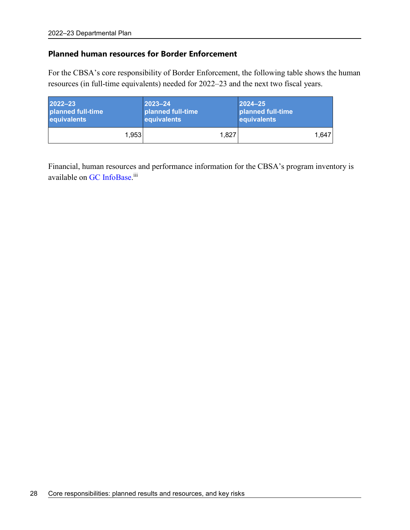## **Planned human resources for Border Enforcement**

For the CBSA's core responsibility of Border Enforcement, the following table shows the human resources (in full-time equivalents) needed for 2022–23 and the next two fiscal years.

| 2022-23           | $ 2023 - 24 $     | $2024 - 25$                      |
|-------------------|-------------------|----------------------------------|
| planned full-time | planned full-time | ∣ planned full-time <sup>∣</sup> |
| equivalents       | equivalents       | equivalents                      |
| 1,953             | 1.827             | 1.647                            |

Financial, human resources and performance information for the CBSA's program inventory is available on GC InfoBase.<sup>iii</sup>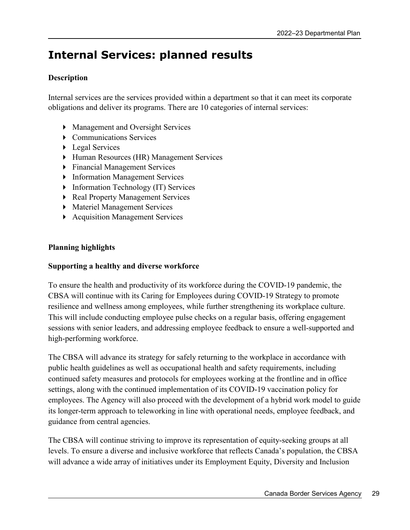# **Internal Services: planned results**

# **Description**

Internal services are the services provided within a department so that it can meet its corporate obligations and deliver its programs. There are 10 categories of internal services:

- Management and Oversight Services
- **Communications Services**
- ▶ Legal Services
- Human Resources (HR) Management Services
- Financial Management Services
- **Information Management Services**
- **Information Technology (IT) Services**
- ▶ Real Property Management Services
- **Materiel Management Services**
- Acquisition Management Services

# **Planning highlights**

## **Supporting a healthy and diverse workforce**

To ensure the health and productivity of its workforce during the COVID-19 pandemic, the CBSA will continue with its Caring for Employees during COVID-19 Strategy to promote resilience and wellness among employees, while further strengthening its workplace culture. This will include conducting employee pulse checks on a regular basis, offering engagement sessions with senior leaders, and addressing employee feedback to ensure a well-supported and high-performing workforce.

The CBSA will advance its strategy for safely returning to the workplace in accordance with public health guidelines as well as occupational health and safety requirements, including continued safety measures and protocols for employees working at the frontline and in office settings, along with the continued implementation of its COVID-19 vaccination policy for employees. The Agency will also proceed with the development of a hybrid work model to guide its longer-term approach to teleworking in line with operational needs, employee feedback, and guidance from central agencies.

The CBSA will continue striving to improve its representation of equity-seeking groups at all levels. To ensure a diverse and inclusive workforce that reflects Canada's population, the CBSA will advance a wide array of initiatives under its Employment Equity, Diversity and Inclusion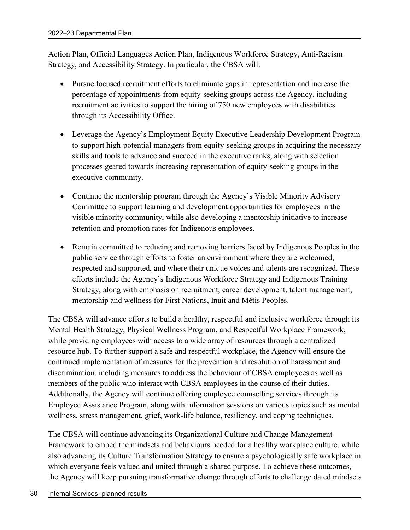Action Plan, Official Languages Action Plan, Indigenous Workforce Strategy, Anti-Racism Strategy, and Accessibility Strategy. In particular, the CBSA will:

- Pursue focused recruitment efforts to eliminate gaps in representation and increase the percentage of appointments from equity-seeking groups across the Agency, including recruitment activities to support the hiring of 750 new employees with disabilities through its Accessibility Office.
- Leverage the Agency's Employment Equity Executive Leadership Development Program to support high-potential managers from equity-seeking groups in acquiring the necessary skills and tools to advance and succeed in the executive ranks, along with selection processes geared towards increasing representation of equity-seeking groups in the executive community.
- Continue the mentorship program through the Agency's Visible Minority Advisory Committee to support learning and development opportunities for employees in the visible minority community, while also developing a mentorship initiative to increase retention and promotion rates for Indigenous employees.
- Remain committed to reducing and removing barriers faced by Indigenous Peoples in the public service through efforts to foster an environment where they are welcomed, respected and supported, and where their unique voices and talents are recognized. These efforts include the Agency's Indigenous Workforce Strategy and Indigenous Training Strategy, along with emphasis on recruitment, career development, talent management, mentorship and wellness for First Nations, Inuit and Métis Peoples.

The CBSA will advance efforts to build a healthy, respectful and inclusive workforce through its Mental Health Strategy, Physical Wellness Program, and Respectful Workplace Framework, while providing employees with access to a wide array of resources through a centralized resource hub. To further support a safe and respectful workplace, the Agency will ensure the continued implementation of measures for the prevention and resolution of harassment and discrimination, including measures to address the behaviour of CBSA employees as well as members of the public who interact with CBSA employees in the course of their duties. Additionally, the Agency will continue offering employee counselling services through its Employee Assistance Program, along with information sessions on various topics such as mental wellness, stress management, grief, work-life balance, resiliency, and coping techniques.

The CBSA will continue advancing its Organizational Culture and Change Management Framework to embed the mindsets and behaviours needed for a healthy workplace culture, while also advancing its Culture Transformation Strategy to ensure a psychologically safe workplace in which everyone feels valued and united through a shared purpose. To achieve these outcomes, the Agency will keep pursuing transformative change through efforts to challenge dated mindsets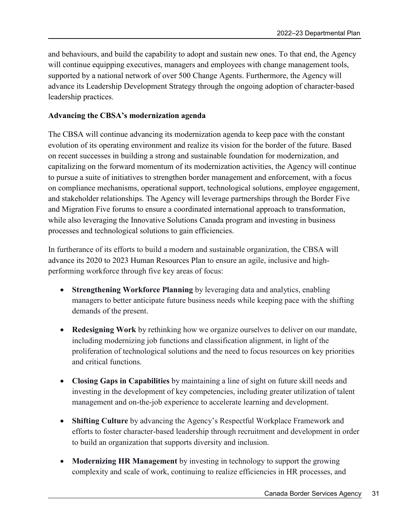and behaviours, and build the capability to adopt and sustain new ones. To that end, the Agency will continue equipping executives, managers and employees with change management tools, supported by a national network of over 500 Change Agents. Furthermore, the Agency will advance its Leadership Development Strategy through the ongoing adoption of character-based leadership practices.

## **Advancing the CBSA's modernization agenda**

The CBSA will continue advancing its modernization agenda to keep pace with the constant evolution of its operating environment and realize its vision for the border of the future. Based on recent successes in building a strong and sustainable foundation for modernization, and capitalizing on the forward momentum of its modernization activities, the Agency will continue to pursue a suite of initiatives to strengthen border management and enforcement, with a focus on compliance mechanisms, operational support, technological solutions, employee engagement, and stakeholder relationships. The Agency will leverage partnerships through the Border Five and Migration Five forums to ensure a coordinated international approach to transformation, while also leveraging the Innovative Solutions Canada program and investing in business processes and technological solutions to gain efficiencies.

In furtherance of its efforts to build a modern and sustainable organization, the CBSA will advance its 2020 to 2023 Human Resources Plan to ensure an agile, inclusive and highperforming workforce through five key areas of focus:

- **Strengthening Workforce Planning** by leveraging data and analytics, enabling managers to better anticipate future business needs while keeping pace with the shifting demands of the present.
- **Redesigning Work** by rethinking how we organize ourselves to deliver on our mandate, including modernizing job functions and classification alignment, in light of the proliferation of technological solutions and the need to focus resources on key priorities and critical functions.
- **Closing Gaps in Capabilities** by maintaining a line of sight on future skill needs and investing in the development of key competencies, including greater utilization of talent management and on-the-job experience to accelerate learning and development.
- **Shifting Culture** by advancing the Agency's Respectful Workplace Framework and efforts to foster character-based leadership through recruitment and development in order to build an organization that supports diversity and inclusion.
- **Modernizing HR Management** by investing in technology to support the growing complexity and scale of work, continuing to realize efficiencies in HR processes, and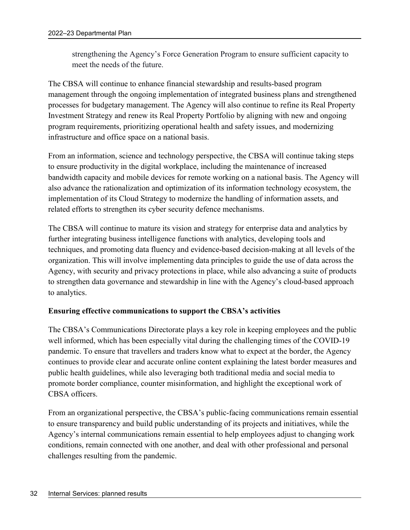strengthening the Agency's Force Generation Program to ensure sufficient capacity to meet the needs of the future.

The CBSA will continue to enhance financial stewardship and results-based program management through the ongoing implementation of integrated business plans and strengthened processes for budgetary management. The Agency will also continue to refine its Real Property Investment Strategy and renew its Real Property Portfolio by aligning with new and ongoing program requirements, prioritizing operational health and safety issues, and modernizing infrastructure and office space on a national basis.

From an information, science and technology perspective, the CBSA will continue taking steps to ensure productivity in the digital workplace, including the maintenance of increased bandwidth capacity and mobile devices for remote working on a national basis. The Agency will also advance the rationalization and optimization of its information technology ecosystem, the implementation of its Cloud Strategy to modernize the handling of information assets, and related efforts to strengthen its cyber security defence mechanisms.

The CBSA will continue to mature its vision and strategy for enterprise data and analytics by further integrating business intelligence functions with analytics, developing tools and techniques, and promoting data fluency and evidence-based decision-making at all levels of the organization. This will involve implementing data principles to guide the use of data across the Agency, with security and privacy protections in place, while also advancing a suite of products to strengthen data governance and stewardship in line with the Agency's cloud-based approach to analytics.

#### **Ensuring effective communications to support the CBSA's activities**

The CBSA's Communications Directorate plays a key role in keeping employees and the public well informed, which has been especially vital during the challenging times of the COVID-19 pandemic. To ensure that travellers and traders know what to expect at the border, the Agency continues to provide clear and accurate online content explaining the latest border measures and public health guidelines, while also leveraging both traditional media and social media to promote border compliance, counter misinformation, and highlight the exceptional work of CBSA officers.

From an organizational perspective, the CBSA's public-facing communications remain essential to ensure transparency and build public understanding of its projects and initiatives, while the Agency's internal communications remain essential to help employees adjust to changing work conditions, remain connected with one another, and deal with other professional and personal challenges resulting from the pandemic.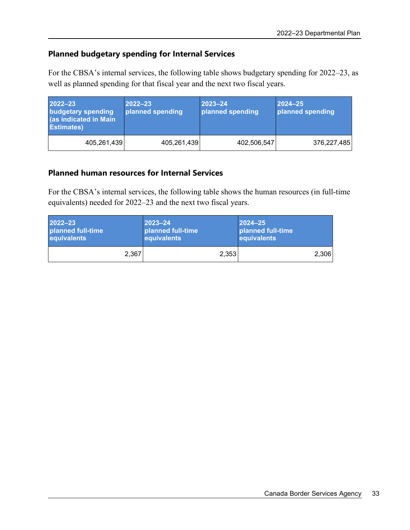# **Planned budgetary spending for Internal Services**

For the CBSA's internal services, the following table shows budgetary spending for 2022–23, as well as planned spending for that fiscal year and the next two fiscal years.

| $2022 - 23$<br>budgetary spending<br>(as indicated in Main<br><b>Estimates)</b> | $2022 - 23$<br>planned spending | $2023 - 24$<br>planned spending | $ 2024 - 25 $<br>planned spending |
|---------------------------------------------------------------------------------|---------------------------------|---------------------------------|-----------------------------------|
| 405,261,439                                                                     | 405,261,439                     | 402,506,547                     | 376,227,485                       |

## **Planned human resources for Internal Services**

For the CBSA's internal services, the following table shows the human resources (in full-time equivalents) needed for 2022–23 and the next two fiscal years.

| 2022-23           | $ 2023 - 24 $      | $ 2024 - 25 $     |
|-------------------|--------------------|-------------------|
| planned full-time | planned full-time  | planned full-time |
| equivalents       | <b>equivalents</b> | equivalents       |
| 2,367             | 2,353              | 2.306             |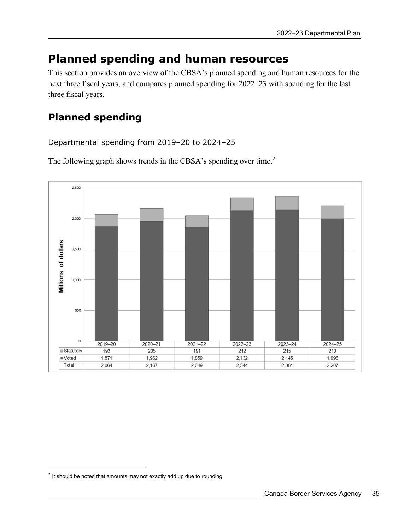# **Planned spending and human resources**

This section provides an overview of the CBSA's planned spending and human resources for the next three fiscal years, and compares planned spending for 2022–23 with spending for the last three fiscal years.

# **Planned spending**

Departmental spending from 2019–20 to 2024–25

The following graph shows trends in the CBSA's spending over time.<sup>2</sup>



 $\overline{a}$ 

<sup>&</sup>lt;sup>2</sup> It should be noted that amounts may not exactly add up due to rounding.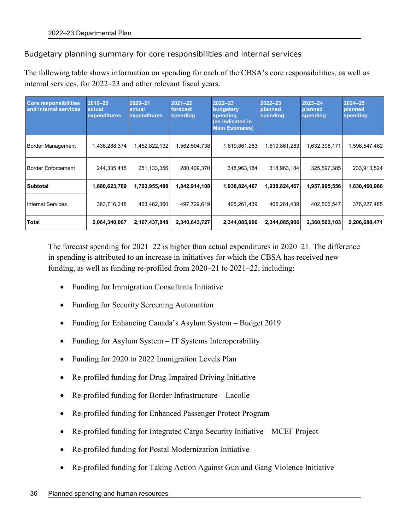Budgetary planning summary for core responsibilities and internal services

The following table shows information on spending for each of the CBSA's core responsibilities, as well as internal services, for 2022–23 and other relevant fiscal years.

| <b>Core responsibilities</b><br>and internal services | 2019-20<br>actual<br>expenditures | $2020 - 21$<br>actual<br>expenditures | $2021 - 22$<br>forecast<br>spending | $2022 - 23$<br>budgetary<br>spending<br>(as indicated in<br><b>Main Estimates)</b> | $2022 - 23$<br>planned<br>spending | 2023-24<br>planned<br>spending | 2024-25<br>planned<br>spending |
|-------------------------------------------------------|-----------------------------------|---------------------------------------|-------------------------------------|------------------------------------------------------------------------------------|------------------------------------|--------------------------------|--------------------------------|
| <b>Border Management</b>                              | 1,436,288,374                     | 1,452,822,132                         | 1,562,504,738                       | 1,619,861,283                                                                      | 1,619,861,283                      | 1,632,398,171                  | 1,596,547,462                  |
| <b>Border Enforcement</b>                             | 244,335,415                       | 251,133,356                           | 280,409,370                         | 318,963,184                                                                        | 318,963,184                        | 325,597,385                    | 233,913,524                    |
| <b>Subtotal</b>                                       | 1,680,623,789                     | 1,703,955,488                         | 1,842,914,108                       | 1,938,824,467                                                                      | 1,938,824,467                      | 1,957,995,556                  | 1,830,460,986                  |
| <b>Internal Services</b>                              | 383,716,218                       | 463,482,360                           | 497,729,619                         | 405,261,439                                                                        | 405,261,439                        | 402,506,547                    | 376,227,485                    |
| Total                                                 | 2,064,340,007                     | 2,167,437,848                         | 2,340,643,727                       | 2,344,085,906                                                                      | 2,344,085,906                      | 2,360,502,103                  | 2,206,688,471                  |

The forecast spending for 2021–22 is higher than actual expenditures in 2020–21. The difference in spending is attributed to an increase in initiatives for which the CBSA has received new funding, as well as funding re-profiled from 2020–21 to 2021–22, including:

- Funding for Immigration Consultants Initiative
- Funding for Security Screening Automation
- Funding for Enhancing Canada's Asylum System Budget 2019
- Funding for Asylum System IT Systems Interoperability
- Funding for 2020 to 2022 Immigration Levels Plan
- Re-profiled funding for Drug-Impaired Driving Initiative
- Re-profiled funding for Border Infrastructure Lacolle
- Re-profiled funding for Enhanced Passenger Protect Program
- Re-profiled funding for Integrated Cargo Security Initiative MCEF Project
- Re-profiled funding for Postal Modernization Initiative
- Re-profiled funding for Taking Action Against Gun and Gang Violence Initiative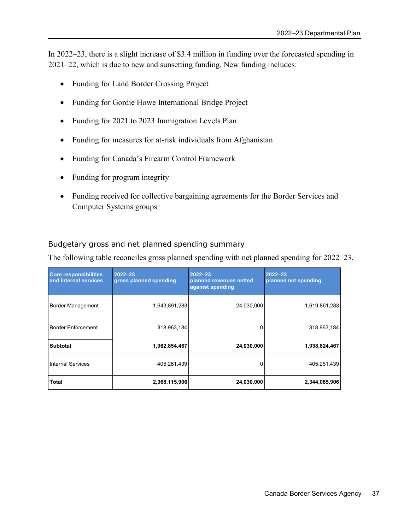In 2022–23, there is a slight increase of \$3.4 million in funding over the forecasted spending in 2021–22, which is due to new and sunsetting funding. New funding includes:

- Funding for Land Border Crossing Project
- Funding for Gordie Howe International Bridge Project
- Funding for 2021 to 2023 Immigration Levels Plan
- Funding for measures for at-risk individuals from Afghanistan
- Funding for Canada's Firearm Control Framework
- Funding for program integrity
- Funding received for collective bargaining agreements for the Border Services and Computer Systems groups

## Budgetary gross and net planned spending summary

The following table reconciles gross planned spending with net planned spending for 2022–23.

| <b>Core responsibilities</b><br>and internal services | 2022-23<br>gross planned spending | $2022 - 23$<br>planned revenues netted<br>against spending | $2022 - 23$<br>planned net spending |
|-------------------------------------------------------|-----------------------------------|------------------------------------------------------------|-------------------------------------|
| <b>Border Management</b>                              | 1,643,891,283                     | 24,030,000                                                 | 1,619,861,283                       |
| <b>Border Enforcement</b>                             | 318,963,184                       | 0                                                          | 318,963,184                         |
| <b>Subtotal</b>                                       | 1,962,854,467                     | 24,030,000                                                 | 1,938,824,467                       |
| <b>Internal Services</b>                              | 405,261,439                       | 0                                                          | 405,261,439                         |
| Total                                                 | 2,368,115,906                     | 24,030,000                                                 | 2,344,085,906                       |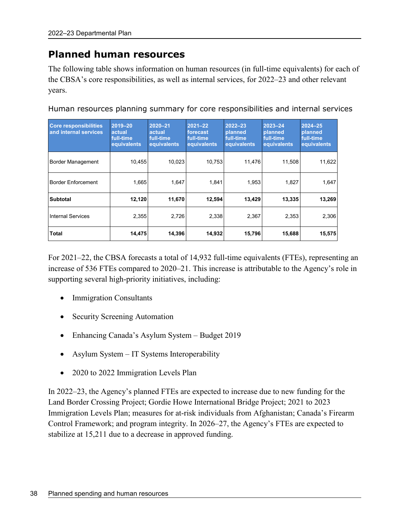# **Planned human resources**

The following table shows information on human resources (in full-time equivalents) for each of the CBSA's core responsibilities, as well as internal services, for 2022–23 and other relevant years.

| <b>Core responsibilities</b><br>and internal services | 2019-20<br>actual<br>full-time<br>equivalents | $2020 - 21$<br>actual<br>full-time<br>equivalents | $2021 - 22$<br>forecast<br>full-time<br>equivalents | $2022 - 23$<br>planned<br>full-time<br>equivalents | 2023-24<br>planned<br>full-time<br>equivalents | 2024-25<br>planned<br>full-time<br>equivalents |
|-------------------------------------------------------|-----------------------------------------------|---------------------------------------------------|-----------------------------------------------------|----------------------------------------------------|------------------------------------------------|------------------------------------------------|
| <b>Border Management</b>                              | 10.455                                        | 10.023                                            | 10.753                                              | 11,476                                             | 11,508                                         | 11,622                                         |
| <b>Border Enforcement</b>                             | 1.665                                         | 1.647                                             | 1.841                                               | 1,953                                              | 1,827                                          | 1,647                                          |
| <b>Subtotal</b>                                       | 12,120                                        | 11,670                                            | 12,594                                              | 13,429                                             | 13,335                                         | 13,269                                         |
| <b>Internal Services</b>                              | 2,355                                         | 2,726                                             | 2,338                                               | 2,367                                              | 2,353                                          | 2,306                                          |
| <b>Total</b>                                          | 14,475                                        | 14,396                                            | 14,932                                              | 15,796                                             | 15,688                                         | 15,575                                         |

Human resources planning summary for core responsibilities and internal services

For 2021–22, the CBSA forecasts a total of 14,932 full-time equivalents (FTEs), representing an increase of 536 FTEs compared to 2020–21. This increase is attributable to the Agency's role in supporting several high-priority initiatives, including:

- Immigration Consultants
- Security Screening Automation
- Enhancing Canada's Asylum System Budget 2019
- Asylum System IT Systems Interoperability
- 2020 to 2022 Immigration Levels Plan

In 2022–23, the Agency's planned FTEs are expected to increase due to new funding for the Land Border Crossing Project; Gordie Howe International Bridge Project; 2021 to 2023 Immigration Levels Plan; measures for at-risk individuals from Afghanistan; Canada's Firearm Control Framework; and program integrity. In 2026–27, the Agency's FTEs are expected to stabilize at 15,211 due to a decrease in approved funding.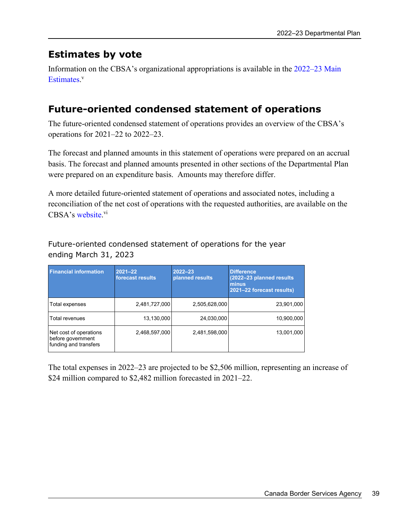# **Estimates by vote**

Information on the CBSA's organizational appropriations is available in the 2022–23 Main Estimates.<sup>v</sup>

# **Future-oriented condensed statement of operations**

The future-oriented condensed statement of operations provides an overview of the CBSA's operations for 2021–22 to 2022–23.

The forecast and planned amounts in this statement of operations were prepared on an accrual basis. The forecast and planned amounts presented in other sections of the Departmental Plan were prepared on an expenditure basis. Amounts may therefore differ.

A more detailed future-oriented statement of operations and associated notes, including a reconciliation of the net cost of operations with the requested authorities, are available on the CBSA's website.<sup>vi</sup>

Future-oriented condensed statement of operations for the year ending March 31, 2023

| <b>Financial information</b>                                         | 2021-22<br>forecast results | $2022 - 23$<br>planned results | <b>Difference</b><br>(2022-23 planned results)<br>minus<br>2021-22 forecast results) |
|----------------------------------------------------------------------|-----------------------------|--------------------------------|--------------------------------------------------------------------------------------|
| Total expenses                                                       | 2,481,727,000               | 2,505,628,000                  | 23,901,000                                                                           |
| <b>Total revenues</b>                                                | 13,130,000                  | 24,030,000                     | 10,900,000                                                                           |
| Net cost of operations<br>before government<br>funding and transfers | 2,468,597,000               | 2,481,598,000                  | 13,001,000                                                                           |

The total expenses in 2022–23 are projected to be \$2,506 million, representing an increase of \$24 million compared to \$2,482 million forecasted in 2021–22.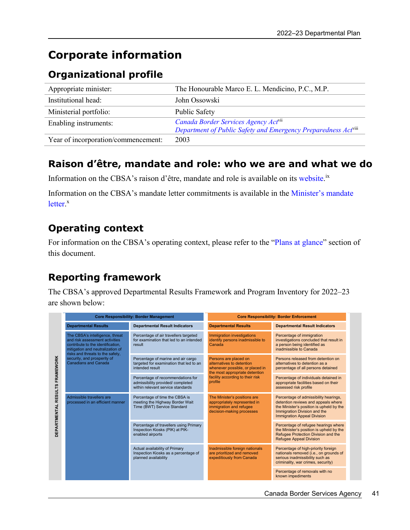# **Corporate information**

# **Organizational profile**

| Appropriate minister:               | The Honourable Marco E. L. Mendicino, P.C., M.P.               |
|-------------------------------------|----------------------------------------------------------------|
| Institutional head:                 | John Ossowski                                                  |
| Ministerial portfolio:              | Public Safety                                                  |
| Enabling instruments:               | Canada Border Services Agency Act <sup>vii</sup>               |
|                                     | Department of Public Safety and Emergency Preparedness Actviii |
| Year of incorporation/commencement: | 2003                                                           |

# **Raison d'être, mandate and role: who we are and what we do**

Information on the CBSA's raison d'être, mandate and role is available on its website.<sup>ix</sup>

Information on the CBSA's mandate letter commitments is available in the Minister's mandate letter.<sup>x</sup>

# **Operating context**

For information on the CBSA's operating context, please refer to the "Plans at glance" section of this document.

# **Reporting framework**

The CBSA's approved Departmental Results Framework and Program Inventory for 2022–23 are shown below:

|                                       |                                                                                                                                                                                                                                              | <b>Core Responsibility: Border Management</b>                                                              | <b>Core Responsibility: Border Enforcement</b>                                                                          |                                                                                                                                                                                                |  |
|---------------------------------------|----------------------------------------------------------------------------------------------------------------------------------------------------------------------------------------------------------------------------------------------|------------------------------------------------------------------------------------------------------------|-------------------------------------------------------------------------------------------------------------------------|------------------------------------------------------------------------------------------------------------------------------------------------------------------------------------------------|--|
|                                       | <b>Departmental Results</b>                                                                                                                                                                                                                  | <b>Departmental Result Indicators</b>                                                                      | <b>Departmental Results</b>                                                                                             | <b>Departmental Result Indicators</b>                                                                                                                                                          |  |
|                                       | The CBSA's intelligence, threat<br>and risk assessment activities<br>contribute to the identification.<br>mitigation and neutralization of<br>risks and threats to the safety,<br>security, and prosperity of<br><b>Canadians and Canada</b> | Percentage of air travellers targeted<br>for examination that led to an intended<br>result                 | Immigration investigations<br>identify persons inadmissible to<br>Canada                                                | Percentage of immigration<br>investigations concluded that result in<br>a person being identified as<br>inadmissible to Canada                                                                 |  |
|                                       |                                                                                                                                                                                                                                              | Percentage of marine and air cargo<br>targeted for examination that led to an<br>intended result           | Persons are placed on<br>alternatives to detention<br>whenever possible, or placed in<br>the most appropriate detention | Persons released from detention on<br>alternatives to detention as a<br>percentage of all persons detained                                                                                     |  |
|                                       |                                                                                                                                                                                                                                              | Percentage of recommendations for<br>admissibility provided/completed<br>within relevant service standards | facility according to their risk<br>profile                                                                             | Percentage of individuals detained in<br>appropriate facilities based on their<br>assessed risk profile                                                                                        |  |
| <b>DEPARTMENTAL RESULTS FRAMEWORK</b> | Admissible travellers are<br>processed in an efficient manner                                                                                                                                                                                | Percentage of time the CBSA is<br>meeting the Highway Border Wait<br>Time (BWT) Service Standard           | The Minister's positions are<br>appropriately represented in<br>immigration and refugee<br>decision-making processes    | Percentage of admissibility hearings,<br>detention reviews and appeals where<br>the Minister's position is upheld by the<br>Immigration Division and the<br><b>Immigration Appeal Division</b> |  |
|                                       |                                                                                                                                                                                                                                              | Percentage of travellers using Primary<br>Inspection Kiosks (PIK) at PIK-<br>enabled airports              |                                                                                                                         | Percentage of refugee hearings where<br>the Minister's position is upheld by the<br>Refugee Protection Division and the<br><b>Refugee Appeal Division</b>                                      |  |
|                                       |                                                                                                                                                                                                                                              | Actual availability of Primary<br>Inspection Kiosks as a percentage of<br>planned availability             | Inadmissible foreign nationals<br>are prioritized and removed<br>expeditiously from Canada                              | Percentage of high-priority foreign<br>nationals removed (i.e., on grounds of<br>serious inadmissibility such as<br>criminality, war crimes, security)                                         |  |
|                                       |                                                                                                                                                                                                                                              |                                                                                                            |                                                                                                                         | Percentage of removals with no<br>known impediments                                                                                                                                            |  |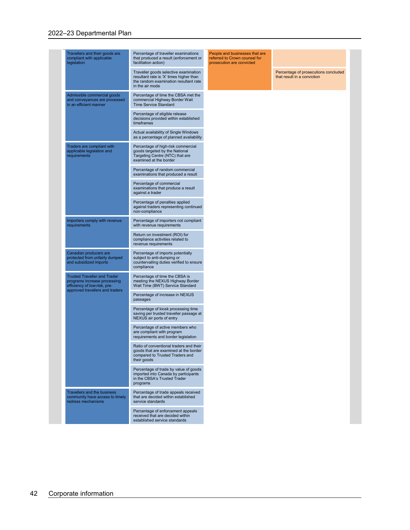#### 2022–23 Departmental Plan

| Travellers and their goods are<br>Percentage of traveller examinations<br>People and businesses that are<br>that produced a result (enforcement or<br>compliant with applicable<br>referred to Crown counsel for<br>legislation<br>facilitation action)<br>prosecution are convicted<br>Traveller goods selective examination<br>Percentage of prosecutions concluded<br>resultant rate is 'X' times higher than<br>that result in a conviction<br>the random examination resultant rate<br>in the air mode<br>Admissible commercial goods<br>Percentage of time the CBSA met the<br>and conveyances are processed<br>commercial Highway Border Wait<br><b>Time Service Standard</b><br>in an efficient manner<br>Percentage of eligible release<br>decisions provided within established<br>timeframes<br>Actual availability of Single Windows<br>as a percentage of planned availability<br>Traders are compliant with<br>Percentage of high-risk commercial<br>applicable legislation and<br>goods targeted by the National<br>requirements<br>Targeting Centre (NTC) that are<br>examined at the border<br>Percentage of random commercial<br>examinations that produced a result<br>Percentage of commercial<br>examinations that produce a result<br>against a trader<br>Percentage of penalties applied<br>against traders representing continued<br>non-compliance<br>Importers comply with revenue<br>Percentage of importers not compliant<br>with revenue requirements<br>requirements<br>Return on investment (ROI) for<br>compliance activities related to<br>revenue requirements<br>Canadian producers are<br>Percentage of imports potentially<br>protected from unfairly dumped<br>subject to anti-dumping or<br>and subsidized imports<br>countervailing duties verified to ensure<br>compliance<br><b>Trusted Traveller and Trader</b><br>Percentage of time the CBSA is<br>meeting the NEXUS Highway Border<br>programs increase processing<br>efficiency of low-risk, pre-<br>Wait Time (BWT) Service Standard<br>approved travellers and traders<br>Percentage of increase in NEXUS<br>passages<br>Percentage of kiosk processing time<br>saving per trusted traveller passage at<br>NEXUS air ports of entry<br>Percentage of active members who<br>are compliant with program<br>requirements and border legislation<br>Ratio of conventional traders and their<br>goods that are examined at the border<br>compared to Trusted Traders and<br>their goods<br>Percentage of trade by value of goods<br>imported into Canada by participants<br>in the CBSA's Trusted Trader<br>programs<br><b>Travellers and the business</b><br>Percentage of trade appeals received<br>that are decided within established<br>community have access to timely<br>service standards<br>redress mechanisms<br>Percentage of enforcement appeals<br>received that are decided within<br>established service standards |  |  |
|-------------------------------------------------------------------------------------------------------------------------------------------------------------------------------------------------------------------------------------------------------------------------------------------------------------------------------------------------------------------------------------------------------------------------------------------------------------------------------------------------------------------------------------------------------------------------------------------------------------------------------------------------------------------------------------------------------------------------------------------------------------------------------------------------------------------------------------------------------------------------------------------------------------------------------------------------------------------------------------------------------------------------------------------------------------------------------------------------------------------------------------------------------------------------------------------------------------------------------------------------------------------------------------------------------------------------------------------------------------------------------------------------------------------------------------------------------------------------------------------------------------------------------------------------------------------------------------------------------------------------------------------------------------------------------------------------------------------------------------------------------------------------------------------------------------------------------------------------------------------------------------------------------------------------------------------------------------------------------------------------------------------------------------------------------------------------------------------------------------------------------------------------------------------------------------------------------------------------------------------------------------------------------------------------------------------------------------------------------------------------------------------------------------------------------------------------------------------------------------------------------------------------------------------------------------------------------------------------------------------------------------------------------------------------------------------------------------------------------------------------------------------------------------------------------------------------------------------------------------------------------------------------------------------------------|--|--|
|                                                                                                                                                                                                                                                                                                                                                                                                                                                                                                                                                                                                                                                                                                                                                                                                                                                                                                                                                                                                                                                                                                                                                                                                                                                                                                                                                                                                                                                                                                                                                                                                                                                                                                                                                                                                                                                                                                                                                                                                                                                                                                                                                                                                                                                                                                                                                                                                                                                                                                                                                                                                                                                                                                                                                                                                                                                                                                                               |  |  |
|                                                                                                                                                                                                                                                                                                                                                                                                                                                                                                                                                                                                                                                                                                                                                                                                                                                                                                                                                                                                                                                                                                                                                                                                                                                                                                                                                                                                                                                                                                                                                                                                                                                                                                                                                                                                                                                                                                                                                                                                                                                                                                                                                                                                                                                                                                                                                                                                                                                                                                                                                                                                                                                                                                                                                                                                                                                                                                                               |  |  |
|                                                                                                                                                                                                                                                                                                                                                                                                                                                                                                                                                                                                                                                                                                                                                                                                                                                                                                                                                                                                                                                                                                                                                                                                                                                                                                                                                                                                                                                                                                                                                                                                                                                                                                                                                                                                                                                                                                                                                                                                                                                                                                                                                                                                                                                                                                                                                                                                                                                                                                                                                                                                                                                                                                                                                                                                                                                                                                                               |  |  |
|                                                                                                                                                                                                                                                                                                                                                                                                                                                                                                                                                                                                                                                                                                                                                                                                                                                                                                                                                                                                                                                                                                                                                                                                                                                                                                                                                                                                                                                                                                                                                                                                                                                                                                                                                                                                                                                                                                                                                                                                                                                                                                                                                                                                                                                                                                                                                                                                                                                                                                                                                                                                                                                                                                                                                                                                                                                                                                                               |  |  |
|                                                                                                                                                                                                                                                                                                                                                                                                                                                                                                                                                                                                                                                                                                                                                                                                                                                                                                                                                                                                                                                                                                                                                                                                                                                                                                                                                                                                                                                                                                                                                                                                                                                                                                                                                                                                                                                                                                                                                                                                                                                                                                                                                                                                                                                                                                                                                                                                                                                                                                                                                                                                                                                                                                                                                                                                                                                                                                                               |  |  |
|                                                                                                                                                                                                                                                                                                                                                                                                                                                                                                                                                                                                                                                                                                                                                                                                                                                                                                                                                                                                                                                                                                                                                                                                                                                                                                                                                                                                                                                                                                                                                                                                                                                                                                                                                                                                                                                                                                                                                                                                                                                                                                                                                                                                                                                                                                                                                                                                                                                                                                                                                                                                                                                                                                                                                                                                                                                                                                                               |  |  |
|                                                                                                                                                                                                                                                                                                                                                                                                                                                                                                                                                                                                                                                                                                                                                                                                                                                                                                                                                                                                                                                                                                                                                                                                                                                                                                                                                                                                                                                                                                                                                                                                                                                                                                                                                                                                                                                                                                                                                                                                                                                                                                                                                                                                                                                                                                                                                                                                                                                                                                                                                                                                                                                                                                                                                                                                                                                                                                                               |  |  |
|                                                                                                                                                                                                                                                                                                                                                                                                                                                                                                                                                                                                                                                                                                                                                                                                                                                                                                                                                                                                                                                                                                                                                                                                                                                                                                                                                                                                                                                                                                                                                                                                                                                                                                                                                                                                                                                                                                                                                                                                                                                                                                                                                                                                                                                                                                                                                                                                                                                                                                                                                                                                                                                                                                                                                                                                                                                                                                                               |  |  |
|                                                                                                                                                                                                                                                                                                                                                                                                                                                                                                                                                                                                                                                                                                                                                                                                                                                                                                                                                                                                                                                                                                                                                                                                                                                                                                                                                                                                                                                                                                                                                                                                                                                                                                                                                                                                                                                                                                                                                                                                                                                                                                                                                                                                                                                                                                                                                                                                                                                                                                                                                                                                                                                                                                                                                                                                                                                                                                                               |  |  |
|                                                                                                                                                                                                                                                                                                                                                                                                                                                                                                                                                                                                                                                                                                                                                                                                                                                                                                                                                                                                                                                                                                                                                                                                                                                                                                                                                                                                                                                                                                                                                                                                                                                                                                                                                                                                                                                                                                                                                                                                                                                                                                                                                                                                                                                                                                                                                                                                                                                                                                                                                                                                                                                                                                                                                                                                                                                                                                                               |  |  |
|                                                                                                                                                                                                                                                                                                                                                                                                                                                                                                                                                                                                                                                                                                                                                                                                                                                                                                                                                                                                                                                                                                                                                                                                                                                                                                                                                                                                                                                                                                                                                                                                                                                                                                                                                                                                                                                                                                                                                                                                                                                                                                                                                                                                                                                                                                                                                                                                                                                                                                                                                                                                                                                                                                                                                                                                                                                                                                                               |  |  |
|                                                                                                                                                                                                                                                                                                                                                                                                                                                                                                                                                                                                                                                                                                                                                                                                                                                                                                                                                                                                                                                                                                                                                                                                                                                                                                                                                                                                                                                                                                                                                                                                                                                                                                                                                                                                                                                                                                                                                                                                                                                                                                                                                                                                                                                                                                                                                                                                                                                                                                                                                                                                                                                                                                                                                                                                                                                                                                                               |  |  |
|                                                                                                                                                                                                                                                                                                                                                                                                                                                                                                                                                                                                                                                                                                                                                                                                                                                                                                                                                                                                                                                                                                                                                                                                                                                                                                                                                                                                                                                                                                                                                                                                                                                                                                                                                                                                                                                                                                                                                                                                                                                                                                                                                                                                                                                                                                                                                                                                                                                                                                                                                                                                                                                                                                                                                                                                                                                                                                                               |  |  |
|                                                                                                                                                                                                                                                                                                                                                                                                                                                                                                                                                                                                                                                                                                                                                                                                                                                                                                                                                                                                                                                                                                                                                                                                                                                                                                                                                                                                                                                                                                                                                                                                                                                                                                                                                                                                                                                                                                                                                                                                                                                                                                                                                                                                                                                                                                                                                                                                                                                                                                                                                                                                                                                                                                                                                                                                                                                                                                                               |  |  |
|                                                                                                                                                                                                                                                                                                                                                                                                                                                                                                                                                                                                                                                                                                                                                                                                                                                                                                                                                                                                                                                                                                                                                                                                                                                                                                                                                                                                                                                                                                                                                                                                                                                                                                                                                                                                                                                                                                                                                                                                                                                                                                                                                                                                                                                                                                                                                                                                                                                                                                                                                                                                                                                                                                                                                                                                                                                                                                                               |  |  |
|                                                                                                                                                                                                                                                                                                                                                                                                                                                                                                                                                                                                                                                                                                                                                                                                                                                                                                                                                                                                                                                                                                                                                                                                                                                                                                                                                                                                                                                                                                                                                                                                                                                                                                                                                                                                                                                                                                                                                                                                                                                                                                                                                                                                                                                                                                                                                                                                                                                                                                                                                                                                                                                                                                                                                                                                                                                                                                                               |  |  |
|                                                                                                                                                                                                                                                                                                                                                                                                                                                                                                                                                                                                                                                                                                                                                                                                                                                                                                                                                                                                                                                                                                                                                                                                                                                                                                                                                                                                                                                                                                                                                                                                                                                                                                                                                                                                                                                                                                                                                                                                                                                                                                                                                                                                                                                                                                                                                                                                                                                                                                                                                                                                                                                                                                                                                                                                                                                                                                                               |  |  |
|                                                                                                                                                                                                                                                                                                                                                                                                                                                                                                                                                                                                                                                                                                                                                                                                                                                                                                                                                                                                                                                                                                                                                                                                                                                                                                                                                                                                                                                                                                                                                                                                                                                                                                                                                                                                                                                                                                                                                                                                                                                                                                                                                                                                                                                                                                                                                                                                                                                                                                                                                                                                                                                                                                                                                                                                                                                                                                                               |  |  |
|                                                                                                                                                                                                                                                                                                                                                                                                                                                                                                                                                                                                                                                                                                                                                                                                                                                                                                                                                                                                                                                                                                                                                                                                                                                                                                                                                                                                                                                                                                                                                                                                                                                                                                                                                                                                                                                                                                                                                                                                                                                                                                                                                                                                                                                                                                                                                                                                                                                                                                                                                                                                                                                                                                                                                                                                                                                                                                                               |  |  |
|                                                                                                                                                                                                                                                                                                                                                                                                                                                                                                                                                                                                                                                                                                                                                                                                                                                                                                                                                                                                                                                                                                                                                                                                                                                                                                                                                                                                                                                                                                                                                                                                                                                                                                                                                                                                                                                                                                                                                                                                                                                                                                                                                                                                                                                                                                                                                                                                                                                                                                                                                                                                                                                                                                                                                                                                                                                                                                                               |  |  |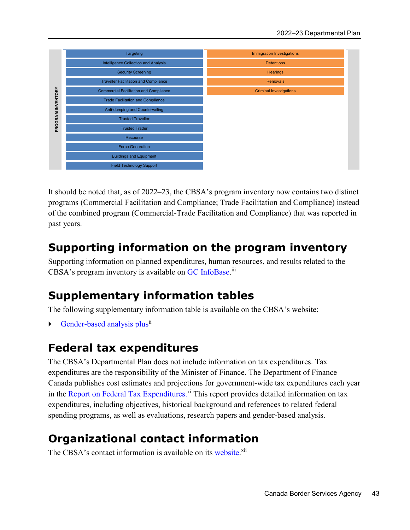

It should be noted that, as of 2022–23, the CBSA's program inventory now contains two distinct programs (Commercial Facilitation and Compliance; Trade Facilitation and Compliance) instead of the combined program (Commercial-Trade Facilitation and Compliance) that was reported in past years.

# **Supporting information on the program inventory**

Supporting information on planned expenditures, human resources, and results related to the CBSA's program inventory is available on GC InfoBase.<sup>iii</sup>

# **Supplementary information tables**

The following supplementary information table is available on the CBSA's website:

Gender-based analysis plus<sup>ii</sup>

# **Federal tax expenditures**

The CBSA's Departmental Plan does not include information on tax expenditures. Tax expenditures are the responsibility of the Minister of Finance. The Department of Finance Canada publishes cost estimates and projections for government-wide tax expenditures each year in the Report on Federal Tax Expenditures.<sup>xi</sup> This report provides detailed information on tax expenditures, including objectives, historical background and references to related federal spending programs, as well as evaluations, research papers and gender-based analysis.

# **Organizational contact information**

The CBSA's contact information is available on its website.<sup>xii</sup>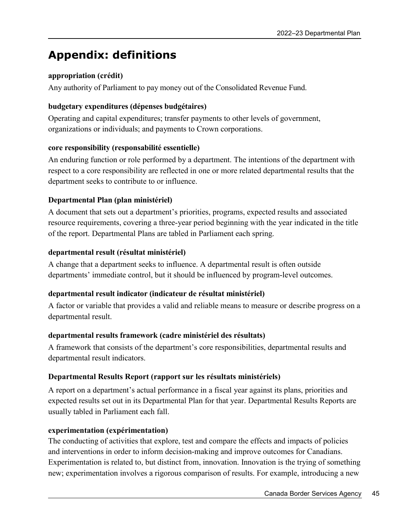# **Appendix: definitions**

# **appropriation (crédit)**

Any authority of Parliament to pay money out of the Consolidated Revenue Fund.

## **budgetary expenditures (dépenses budgétaires)**

Operating and capital expenditures; transfer payments to other levels of government, organizations or individuals; and payments to Crown corporations.

# **core responsibility (responsabilité essentielle)**

An enduring function or role performed by a department. The intentions of the department with respect to a core responsibility are reflected in one or more related departmental results that the department seeks to contribute to or influence.

# **Departmental Plan (plan ministériel)**

A document that sets out a department's priorities, programs, expected results and associated resource requirements, covering a three-year period beginning with the year indicated in the title of the report. Departmental Plans are tabled in Parliament each spring.

# **departmental result (résultat ministériel)**

A change that a department seeks to influence. A departmental result is often outside departments' immediate control, but it should be influenced by program-level outcomes.

# **departmental result indicator (indicateur de résultat ministériel)**

A factor or variable that provides a valid and reliable means to measure or describe progress on a departmental result.

## **departmental results framework (cadre ministériel des résultats)**

A framework that consists of the department's core responsibilities, departmental results and departmental result indicators.

# **Departmental Results Report (rapport sur les résultats ministériels)**

A report on a department's actual performance in a fiscal year against its plans, priorities and expected results set out in its Departmental Plan for that year. Departmental Results Reports are usually tabled in Parliament each fall.

# **experimentation (expérimentation)**

The conducting of activities that explore, test and compare the effects and impacts of policies and interventions in order to inform decision-making and improve outcomes for Canadians. Experimentation is related to, but distinct from, innovation. Innovation is the trying of something new; experimentation involves a rigorous comparison of results. For example, introducing a new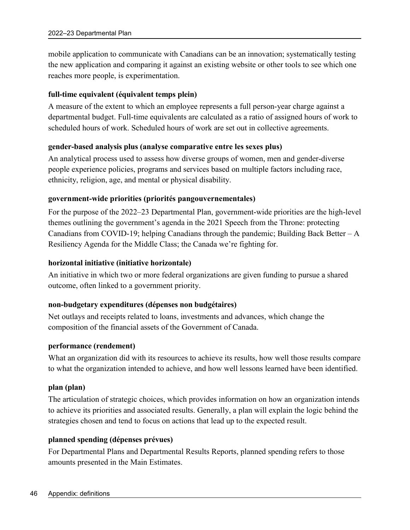mobile application to communicate with Canadians can be an innovation; systematically testing the new application and comparing it against an existing website or other tools to see which one reaches more people, is experimentation.

## **full-time equivalent (équivalent temps plein)**

A measure of the extent to which an employee represents a full person-year charge against a departmental budget. Full-time equivalents are calculated as a ratio of assigned hours of work to scheduled hours of work. Scheduled hours of work are set out in collective agreements.

# **gender-based analysis plus (analyse comparative entre les sexes plus)**

An analytical process used to assess how diverse groups of women, men and gender-diverse people experience policies, programs and services based on multiple factors including race, ethnicity, religion, age, and mental or physical disability.

# **government-wide priorities (priorités pangouvernementales)**

For the purpose of the 2022–23 Departmental Plan, government-wide priorities are the high-level themes outlining the government's agenda in the 2021 Speech from the Throne: protecting Canadians from COVID-19; helping Canadians through the pandemic; Building Back Better – A Resiliency Agenda for the Middle Class; the Canada we're fighting for.

## **horizontal initiative (initiative horizontale)**

An initiative in which two or more federal organizations are given funding to pursue a shared outcome, often linked to a government priority.

## **non-budgetary expenditures (dépenses non budgétaires)**

Net outlays and receipts related to loans, investments and advances, which change the composition of the financial assets of the Government of Canada.

## **performance (rendement)**

What an organization did with its resources to achieve its results, how well those results compare to what the organization intended to achieve, and how well lessons learned have been identified.

## **plan (plan)**

The articulation of strategic choices, which provides information on how an organization intends to achieve its priorities and associated results. Generally, a plan will explain the logic behind the strategies chosen and tend to focus on actions that lead up to the expected result.

## **planned spending (dépenses prévues)**

For Departmental Plans and Departmental Results Reports, planned spending refers to those amounts presented in the Main Estimates.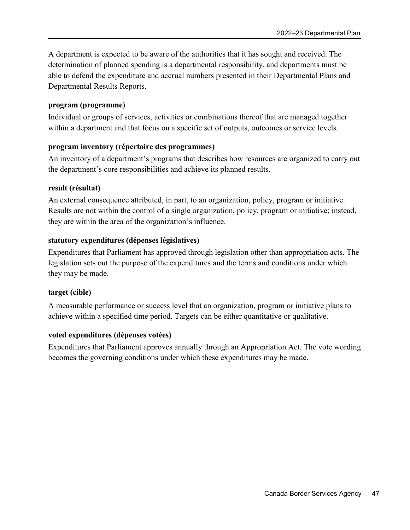A department is expected to be aware of the authorities that it has sought and received. The determination of planned spending is a departmental responsibility, and departments must be able to defend the expenditure and accrual numbers presented in their Departmental Plans and Departmental Results Reports.

#### **program (programme)**

Individual or groups of services, activities or combinations thereof that are managed together within a department and that focus on a specific set of outputs, outcomes or service levels.

#### **program inventory (répertoire des programmes)**

An inventory of a department's programs that describes how resources are organized to carry out the department's core responsibilities and achieve its planned results.

#### **result (résultat)**

An external consequence attributed, in part, to an organization, policy, program or initiative. Results are not within the control of a single organization, policy, program or initiative; instead, they are within the area of the organization's influence.

#### **statutory expenditures (dépenses législatives)**

Expenditures that Parliament has approved through legislation other than appropriation acts. The legislation sets out the purpose of the expenditures and the terms and conditions under which they may be made.

#### **target (cible)**

A measurable performance or success level that an organization, program or initiative plans to achieve within a specified time period. Targets can be either quantitative or qualitative.

#### **voted expenditures (dépenses votées)**

Expenditures that Parliament approves annually through an Appropriation Act. The vote wording becomes the governing conditions under which these expenditures may be made.